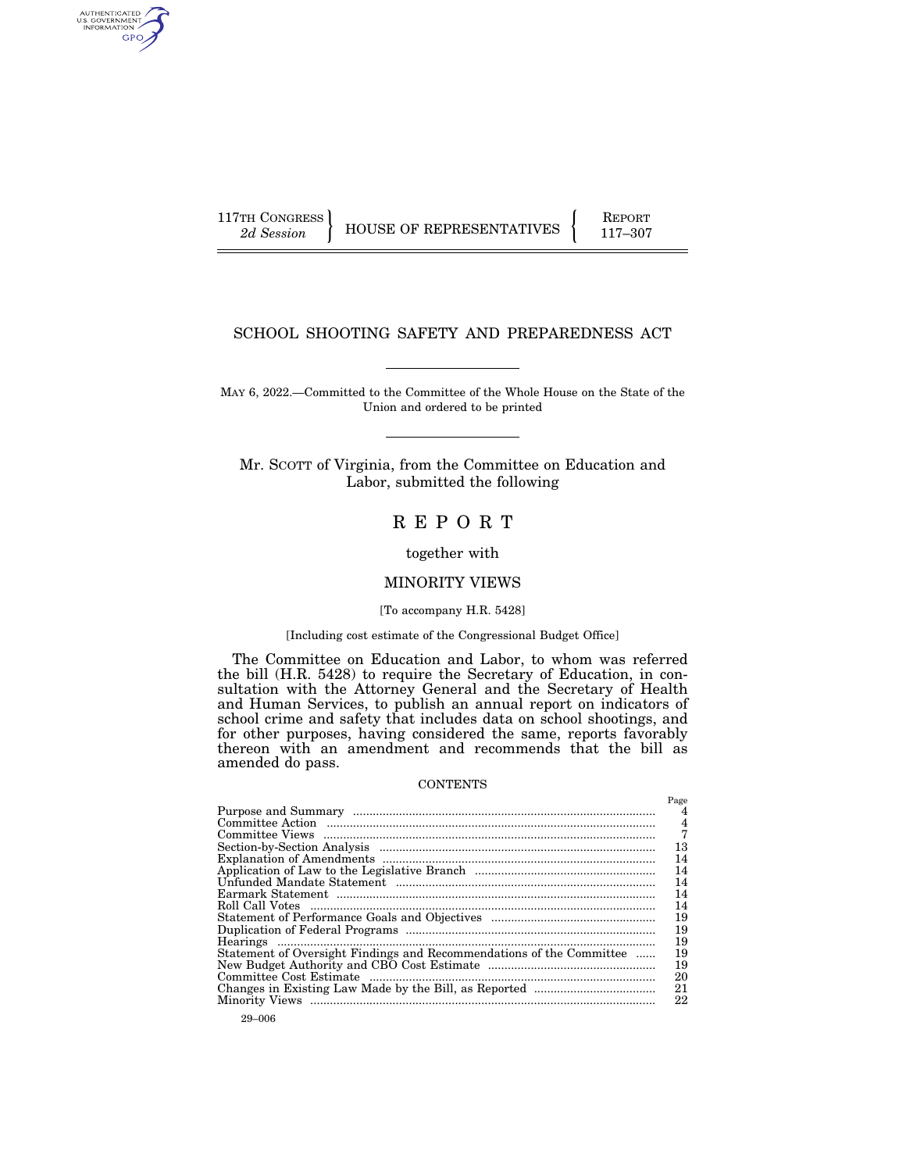AUTHENTICATED<br>U.S. GOVERNMENT<br>INFORMATION GPO

117TH CONGRESS HOUSE OF REPRESENTATIVES FEPORT 117-307

# SCHOOL SHOOTING SAFETY AND PREPAREDNESS ACT

MAY 6, 2022.—Committed to the Committee of the Whole House on the State of the Union and ordered to be printed

Mr. SCOTT of Virginia, from the Committee on Education and Labor, submitted the following

# R E P O R T

# together with

# MINORITY VIEWS

# [To accompany H.R. 5428]

# [Including cost estimate of the Congressional Budget Office]

The Committee on Education and Labor, to whom was referred the bill (H.R. 5428) to require the Secretary of Education, in consultation with the Attorney General and the Secretary of Health and Human Services, to publish an annual report on indicators of school crime and safety that includes data on school shootings, and for other purposes, having considered the same, reports favorably thereon with an amendment and recommends that the bill as amended do pass.

#### CONTENTS

|                                                                      | Page |
|----------------------------------------------------------------------|------|
|                                                                      | 4    |
|                                                                      | 4    |
|                                                                      |      |
|                                                                      | 13   |
|                                                                      | 14   |
|                                                                      | 14   |
|                                                                      | 14   |
|                                                                      | 14   |
|                                                                      | 14   |
|                                                                      | 19   |
|                                                                      | 19   |
|                                                                      | 19   |
| Statement of Oversight Findings and Recommendations of the Committee | 19   |
|                                                                      | 19   |
|                                                                      | 20   |
|                                                                      | 21   |
|                                                                      | 22   |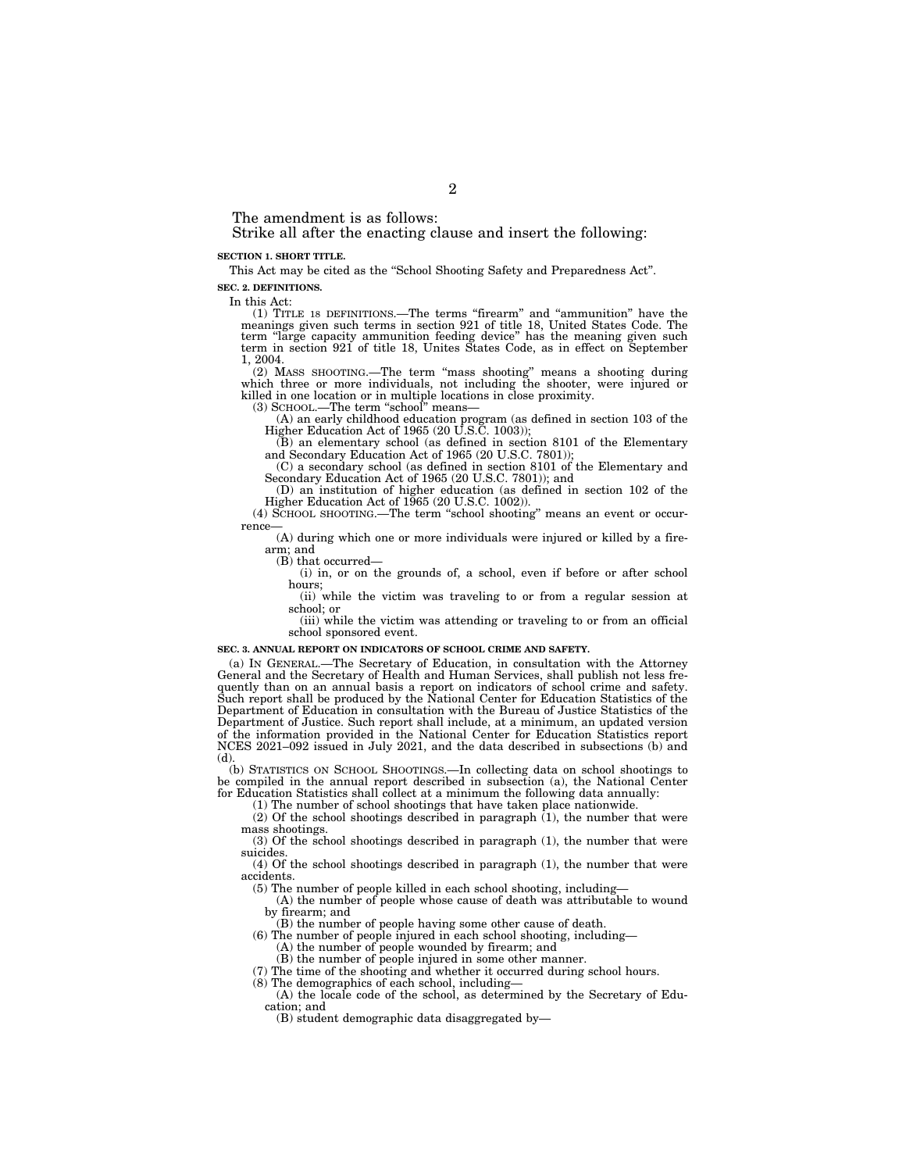The amendment is as follows:

Strike all after the enacting clause and insert the following:

#### **SECTION 1. SHORT TITLE.**

This Act may be cited as the "School Shooting Safety and Preparedness Act". **SEC. 2. DEFINITIONS.** 

In this Act:

(1) TITLE 18 DEFINITIONS.—The terms ''firearm'' and ''ammunition'' have the meanings given such terms in section 921 of title 18, United States Code. The term ''large capacity ammunition feeding device'' has the meaning given such term in section 921 of title 18, Unites States Code, as in effect on September 1, 2004.

(2) MASS SHOOTING.—The term ''mass shooting'' means a shooting during which three or more individuals, not including the shooter, were injured or killed in one location or in multiple locations in close proximity.

(3) SCHOOL.—The term ''school'' means—

(A) an early childhood education program (as defined in section 103 of the Higher Education Act of 1965 (20 U.S.C. 1003));

(B) an elementary school (as defined in section 8101 of the Elementary and Secondary Education Act of 1965 (20 U.S.C. 7801));

(C) a secondary school (as defined in section 8101 of the Elementary and Secondary Education Act of 1965 (20 U.S.C. 7801)); and

(D) an institution of higher education (as defined in section 102 of the Higher Education Act of 1965 (20 U.S.C. 1002)).

(4) SCHOOL SHOOTING.—The term ''school shooting'' means an event or occurrence-

(A) during which one or more individuals were injured or killed by a firearm; and

(B) that occurred—

(i) in, or on the grounds of, a school, even if before or after school hours;

(ii) while the victim was traveling to or from a regular session at school; or

(iii) while the victim was attending or traveling to or from an official school sponsored event.

#### **SEC. 3. ANNUAL REPORT ON INDICATORS OF SCHOOL CRIME AND SAFETY.**

(a) IN GENERAL.—The Secretary of Education, in consultation with the Attorney General and the Secretary of Health and Human Services, shall publish not less frequently than on an annual basis a report on indicators of school crime and safety. Such report shall be produced by the National Center for Education Statistics of the Department of Education in consultation with the Bureau of Justice Statistics of the Department of Justice. Such report shall include, at a minimum, an updated version of the information provided in the National Center for Education Statistics report NCES 2021–092 issued in July 2021, and the data described in subsections (b) and (d).

(b) STATISTICS ON SCHOOL SHOOTINGS.—In collecting data on school shootings to be compiled in the annual report described in subsection (a), the National Center for Education Statistics shall collect at a minimum the following data annually:

(1) The number of school shootings that have taken place nationwide.

(2) Of the school shootings described in paragraph (1), the number that were mass shootings.

(3) Of the school shootings described in paragraph (1), the number that were suicides.

(4) Of the school shootings described in paragraph (1), the number that were accidents.

(5) The number of people killed in each school shooting, including—

(A) the number of people whose cause of death was attributable to wound by firearm; and

(B) the number of people having some other cause of death.

(6) The number of people injured in each school shooting, including—

(A) the number of people wounded by firearm; and (B) the number of people injured in some other manner.

(7) The time of the shooting and whether it occurred during school hours.

(8) The demographics of each school, including—

(A) the locale code of the school, as determined by the Secretary of Education; and

(B) student demographic data disaggregated by—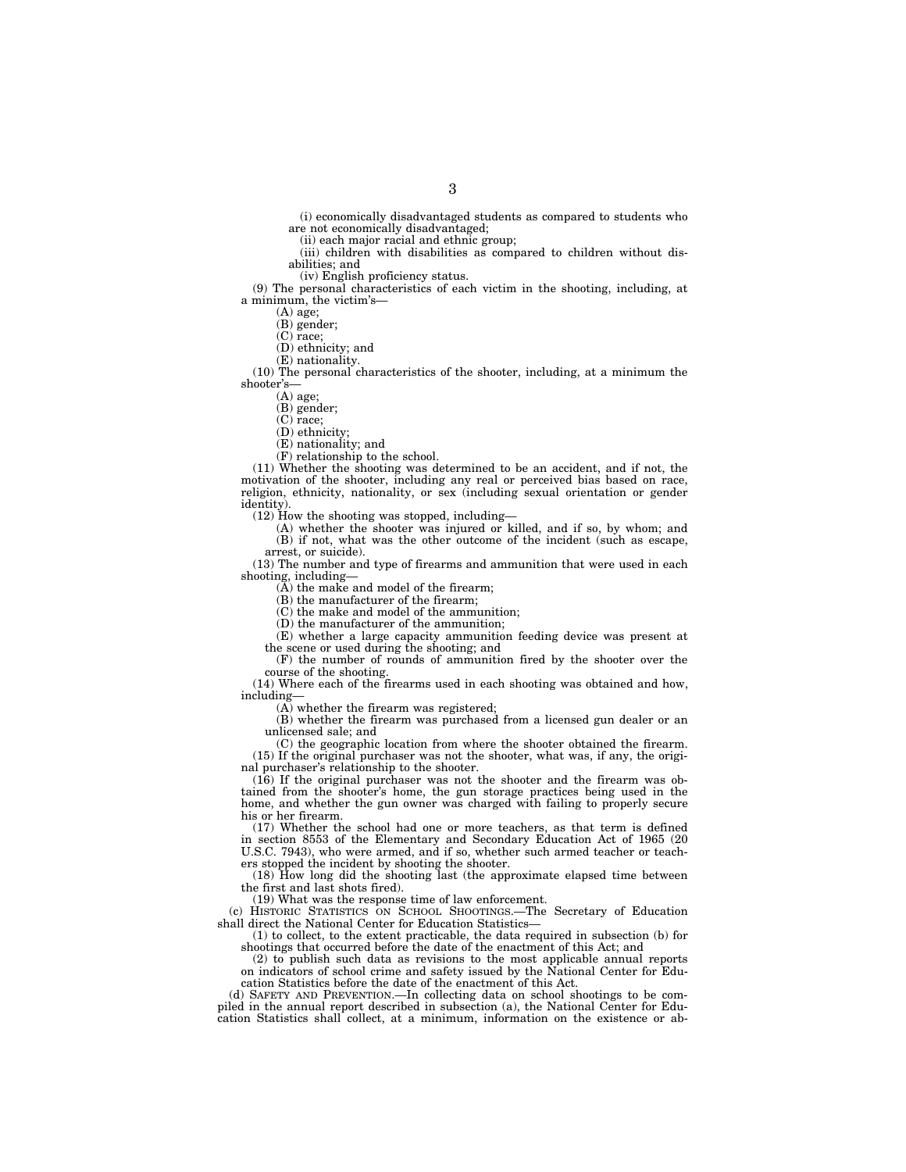(i) economically disadvantaged students as compared to students who are not economically disadvantaged;

(ii) each major racial and ethnic group;

(iii) children with disabilities as compared to children without disabilities; and

(iv) English proficiency status.

(9) The personal characteristics of each victim in the shooting, including, at a minimum, the victim's—

(A) age;

(B) gender;

(C) race;

(D) ethnicity; and

(E) nationality.

(10) The personal characteristics of the shooter, including, at a minimum the shooter's—

(A) age;

(B) gender;

(C) race;

(D) ethnicity;

(E) nationality; and

(F) relationship to the school.

(11) Whether the shooting was determined to be an accident, and if not, the motivation of the shooter, including any real or perceived bias based on race, religion, ethnicity, nationality, or sex (including sexual orientation or gender identity).

(12) How the shooting was stopped, including—

(A) whether the shooter was injured or killed, and if so, by whom; and (B) if not, what was the other outcome of the incident (such as escape, arrest, or suicide).

(13) The number and type of firearms and ammunition that were used in each shooting, including—

(A) the make and model of the firearm;

(B) the manufacturer of the firearm;

(C) the make and model of the ammunition;

(D) the manufacturer of the ammunition;

(E) whether a large capacity ammunition feeding device was present at the scene or used during the shooting; and

(F) the number of rounds of ammunition fired by the shooter over the course of the shooting.

(14) Where each of the firearms used in each shooting was obtained and how, including—

(A) whether the firearm was registered;

(B) whether the firearm was purchased from a licensed gun dealer or an unlicensed sale; and

(C) the geographic location from where the shooter obtained the firearm. (15) If the original purchaser was not the shooter, what was, if any, the original purchaser's relationship to the shooter.

(16) If the original purchaser was not the shooter and the firearm was obtained from the shooter's home, the gun storage practices being used in the home, and whether the gun owner was charged with failing to properly secure his or her firearm.

(17) Whether the school had one or more teachers, as that term is defined in section 8553 of the Elementary and Secondary Education Act of 1965 (20 U.S.C. 7943), who were armed, and if so, whether such armed teacher or teachers stopped the incident by shooting the shooter.

(18) How long did the shooting last (the approximate elapsed time between the first and last shots fired). (19) What was the response time of law enforcement.

(c) HISTORIC STATISTICS ON SCHOOL SHOOTINGS.—The Secretary of Education shall direct the National Center for Education Statistics—

(1) to collect, to the extent practicable, the data required in subsection (b) for shootings that occurred before the date of the enactment of this Act; and

(2) to publish such data as revisions to the most applicable annual reports on indicators of school crime and safety issued by the National Center for Education Statistics before the date of the enactment of this Act.

(d) SAFETY AND PREVENTION.—In collecting data on school shootings to be compiled in the annual report described in subsection (a), the National Center for Education Statistics shall collect, at a minimum, information on the existence or ab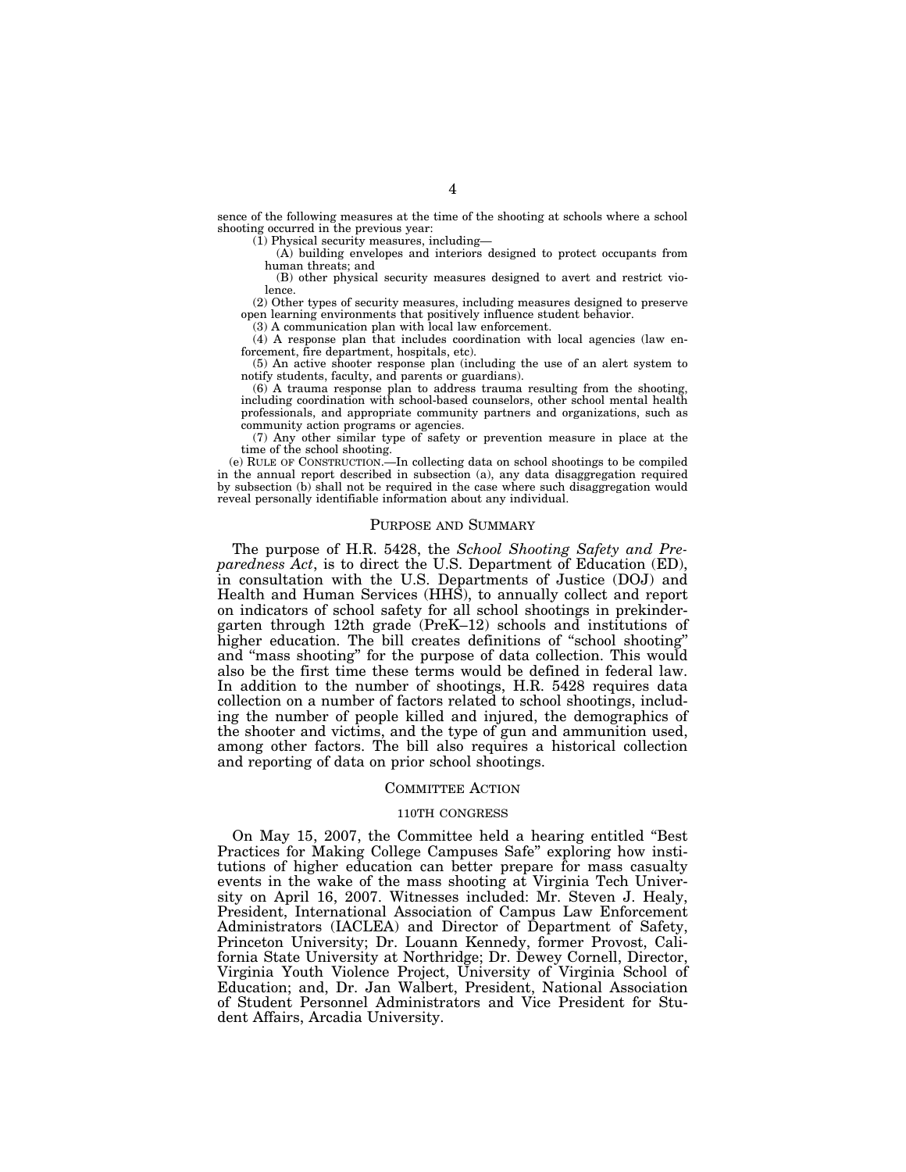sence of the following measures at the time of the shooting at schools where a school shooting occurred in the previous year:

 $(1)$  Physical security measures, including-

(A) building envelopes and interiors designed to protect occupants from human threats; and

(B) other physical security measures designed to avert and restrict violence.

(2) Other types of security measures, including measures designed to preserve open learning environments that positively influence student behavior.

(3) A communication plan with local law enforcement.

 $(4)$  A response plan that includes coordination with local agencies (law enforcement, fire department, hospitals, etc).

(5) An active shooter response plan (including the use of an alert system to notify students, faculty, and parents or guardians).

(6) A trauma response plan to address trauma resulting from the shooting, including coordination with school-based counselors, other school mental health professionals, and appropriate community partners and organizations, such as community action programs or agencies.

(7) Any other similar type of safety or prevention measure in place at the time of the school shooting.

(e) RULE OF CONSTRUCTION.—In collecting data on school shootings to be compiled in the annual report described in subsection (a), any data disaggregation required by subsection (b) shall not be required in the case where such disaggregation would reveal personally identifiable information about any individual.

#### PURPOSE AND SUMMARY

The purpose of H.R. 5428, the *School Shooting Safety and Preparedness Act*, is to direct the U.S. Department of Education (ED), in consultation with the U.S. Departments of Justice (DOJ) and Health and Human Services (HHS), to annually collect and report on indicators of school safety for all school shootings in prekindergarten through 12th grade (PreK–12) schools and institutions of higher education. The bill creates definitions of ''school shooting'' and "mass shooting" for the purpose of data collection. This would also be the first time these terms would be defined in federal law. In addition to the number of shootings, H.R. 5428 requires data collection on a number of factors related to school shootings, including the number of people killed and injured, the demographics of the shooter and victims, and the type of gun and ammunition used, among other factors. The bill also requires a historical collection and reporting of data on prior school shootings.

# COMMITTEE ACTION

# 110TH CONGRESS

On May 15, 2007, the Committee held a hearing entitled ''Best Practices for Making College Campuses Safe'' exploring how institutions of higher education can better prepare for mass casualty events in the wake of the mass shooting at Virginia Tech University on April 16, 2007. Witnesses included: Mr. Steven J. Healy, President, International Association of Campus Law Enforcement Administrators (IACLEA) and Director of Department of Safety, Princeton University; Dr. Louann Kennedy, former Provost, California State University at Northridge; Dr. Dewey Cornell, Director, Virginia Youth Violence Project, University of Virginia School of Education; and, Dr. Jan Walbert, President, National Association of Student Personnel Administrators and Vice President for Student Affairs, Arcadia University.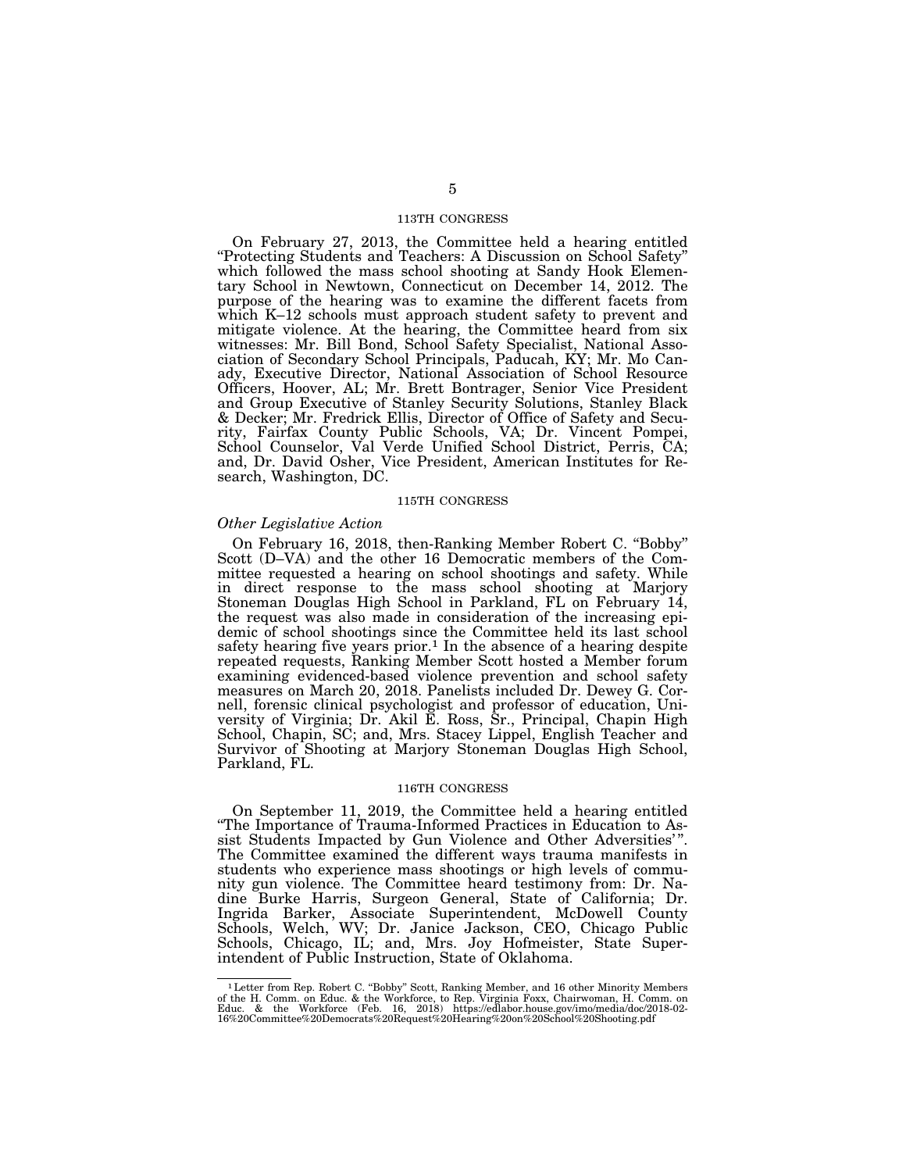# 113TH CONGRESS

On February 27, 2013, the Committee held a hearing entitled ''Protecting Students and Teachers: A Discussion on School Safety'' which followed the mass school shooting at Sandy Hook Elementary School in Newtown, Connecticut on December 14, 2012. The purpose of the hearing was to examine the different facets from which K–12 schools must approach student safety to prevent and mitigate violence. At the hearing, the Committee heard from six witnesses: Mr. Bill Bond, School Safety Specialist, National Association of Secondary School Principals, Paducah, KY; Mr. Mo Canady, Executive Director, National Association of School Resource Officers, Hoover, AL; Mr. Brett Bontrager, Senior Vice President and Group Executive of Stanley Security Solutions, Stanley Black & Decker; Mr. Fredrick Ellis, Director of Office of Safety and Security, Fairfax County Public Schools, VA; Dr. Vincent Pompei, School Counselor, Val Verde Unified School District, Perris, CA; and, Dr. David Osher, Vice President, American Institutes for Research, Washington, DC.

#### 115TH CONGRESS

#### *Other Legislative Action*

On February 16, 2018, then-Ranking Member Robert C. ''Bobby'' Scott (D–VA) and the other 16 Democratic members of the Committee requested a hearing on school shootings and safety. While in direct response to the mass school shooting at Marjory Stoneman Douglas High School in Parkland, FL on February 14, the request was also made in consideration of the increasing epidemic of school shootings since the Committee held its last school safety hearing five years prior.<sup>1</sup> In the absence of a hearing despite repeated requests, Ranking Member Scott hosted a Member forum examining evidenced-based violence prevention and school safety measures on March 20, 2018. Panelists included Dr. Dewey G. Cornell, forensic clinical psychologist and professor of education, University of Virginia; Dr. Akil E. Ross, Sr., Principal, Chapin High School, Chapin, SC; and, Mrs. Stacey Lippel, English Teacher and Survivor of Shooting at Marjory Stoneman Douglas High School, Parkland, FL.

#### 116TH CONGRESS

On September 11, 2019, the Committee held a hearing entitled ''The Importance of Trauma-Informed Practices in Education to Assist Students Impacted by Gun Violence and Other Adversities' ''. The Committee examined the different ways trauma manifests in students who experience mass shootings or high levels of community gun violence. The Committee heard testimony from: Dr. Nadine Burke Harris, Surgeon General, State of California; Dr. Ingrida Barker, Associate Superintendent, McDowell County Schools, Welch, WV; Dr. Janice Jackson, CEO, Chicago Public Schools, Chicago, IL; and, Mrs. Joy Hofmeister, State Superintendent of Public Instruction, State of Oklahoma.

<sup>&</sup>lt;sup>1</sup> Letter from Rep. Robert C. "Bobby" Scott, Ranking Member, and 16 other Minority Members of the H. Comm. on Educ. & the Workforce, to Rep. Virginia Foxx, Chairwoman, H. Comm. on Educ. At the Workforce, to Rep. Virginia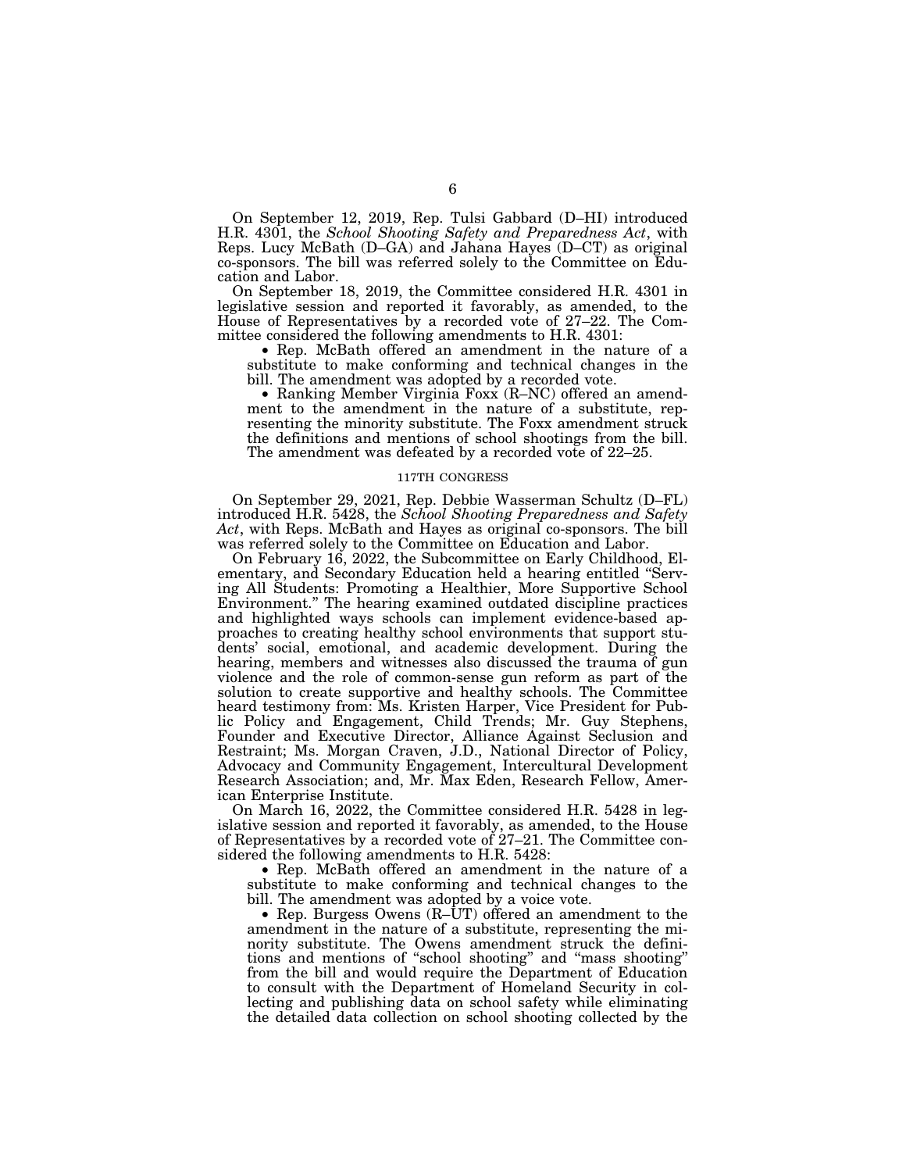On September 12, 2019, Rep. Tulsi Gabbard (D–HI) introduced H.R. 4301, the *School Shooting Safety and Preparedness Act*, with Reps. Lucy McBath (D–GA) and Jahana Hayes (D–CT) as original co-sponsors. The bill was referred solely to the Committee on Education and Labor.

On September 18, 2019, the Committee considered H.R. 4301 in legislative session and reported it favorably, as amended, to the House of Representatives by a recorded vote of 27–22. The Committee considered the following amendments to H.R. 4301:

• Rep. McBath offered an amendment in the nature of a substitute to make conforming and technical changes in the bill. The amendment was adopted by a recorded vote.

• Ranking Member Virginia Foxx (R–NC) offered an amendment to the amendment in the nature of a substitute, representing the minority substitute. The Foxx amendment struck the definitions and mentions of school shootings from the bill. The amendment was defeated by a recorded vote of 22–25.

#### 117TH CONGRESS

On September 29, 2021, Rep. Debbie Wasserman Schultz (D–FL) introduced H.R. 5428, the *School Shooting Preparedness and Safety Act*, with Reps. McBath and Hayes as original co-sponsors. The bill was referred solely to the Committee on Education and Labor.

On February 16, 2022, the Subcommittee on Early Childhood, Elementary, and Secondary Education held a hearing entitled ''Serving All Students: Promoting a Healthier, More Supportive School Environment.'' The hearing examined outdated discipline practices and highlighted ways schools can implement evidence-based approaches to creating healthy school environments that support students' social, emotional, and academic development. During the hearing, members and witnesses also discussed the trauma of gun violence and the role of common-sense gun reform as part of the solution to create supportive and healthy schools. The Committee heard testimony from: Ms. Kristen Harper, Vice President for Public Policy and Engagement, Child Trends; Mr. Guy Stephens, Founder and Executive Director, Alliance Against Seclusion and Restraint; Ms. Morgan Craven, J.D., National Director of Policy, Advocacy and Community Engagement, Intercultural Development Research Association; and, Mr. Max Eden, Research Fellow, American Enterprise Institute.

On March 16, 2022, the Committee considered H.R. 5428 in legislative session and reported it favorably, as amended, to the House of Representatives by a recorded vote of 27–21. The Committee considered the following amendments to H.R. 5428:

• Rep. McBath offered an amendment in the nature of a substitute to make conforming and technical changes to the bill. The amendment was adopted by a voice vote.

• Rep. Burgess Owens (R–UT) offered an amendment to the amendment in the nature of a substitute, representing the minority substitute. The Owens amendment struck the definitions and mentions of ''school shooting'' and ''mass shooting'' from the bill and would require the Department of Education to consult with the Department of Homeland Security in collecting and publishing data on school safety while eliminating the detailed data collection on school shooting collected by the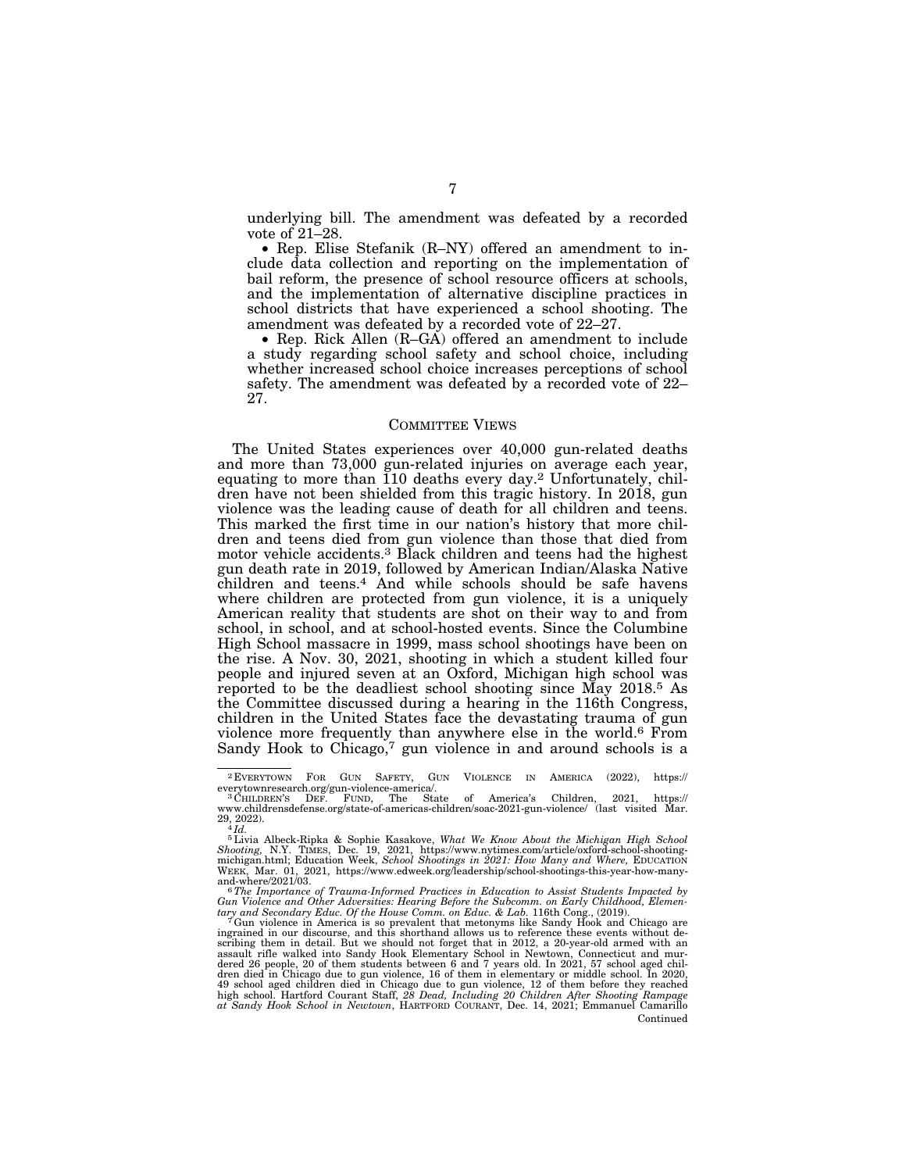underlying bill. The amendment was defeated by a recorded vote of 21–28.

• Rep. Elise Stefanik (R–NY) offered an amendment to include data collection and reporting on the implementation of bail reform, the presence of school resource officers at schools, and the implementation of alternative discipline practices in school districts that have experienced a school shooting. The amendment was defeated by a recorded vote of 22–27.

• Rep. Rick Allen (R–GA) offered an amendment to include a study regarding school safety and school choice, including whether increased school choice increases perceptions of school safety. The amendment was defeated by a recorded vote of 22– 27.

#### COMMITTEE VIEWS

The United States experiences over 40,000 gun-related deaths and more than 73,000 gun-related injuries on average each year, equating to more than 110 deaths every day.2 Unfortunately, children have not been shielded from this tragic history. In 2018, gun violence was the leading cause of death for all children and teens. This marked the first time in our nation's history that more children and teens died from gun violence than those that died from motor vehicle accidents.3 Black children and teens had the highest gun death rate in 2019, followed by American Indian/Alaska Native children and teens.4 And while schools should be safe havens where children are protected from gun violence, it is a uniquely American reality that students are shot on their way to and from school, in school, and at school-hosted events. Since the Columbine High School massacre in 1999, mass school shootings have been on the rise. A Nov. 30, 2021, shooting in which a student killed four people and injured seven at an Oxford, Michigan high school was reported to be the deadliest school shooting since May 2018.5 As the Committee discussed during a hearing in the 116th Congress, children in the United States face the devastating trauma of gun violence more frequently than anywhere else in the world.6 From Sandy Hook to Chicago,<sup>7</sup> gun violence in and around schools is a

 $2$  EVERYTOWN FOR GUN SAFETY, GUN VIOLENCE IN AMERICA (2022), https://<br>everytownresearch.org/gun-violence-america/.<br> $3$  Children, 2021, https://

<sup>8</sup> Cerytownresearch.org/gun-violence-america/.<br>3 CHILDREN'S DEF. FUND, The State of America's Children, 2021, https://<br>www.childrensdefense.org/state-of-americas-children/soac-2021-gun-violence/ (last visited Mar.  $^{29,~2022)}$ .<br> $^{4}$ *Id.* 

<sup>5</sup>Livia Albeck-Ripka & Sophie Kasakove, *What We Know About the Michigan High School*  Shooting, N.Y. TIMES, Dec. 19, 2021, https://www.nytimes.com/article/oxford-school-shooting-<br>michigan.html; Education Week, School Shootings in 2021: How Many and Where, EDUCATION<br>WEEK, Mar. 01, 2021, https://www.edweek.or

and-where/2021/03. 6*The Importance of Trauma-Informed Practices in Education to Assist Students Impacted by Gun Violence and Other Adversities: Hearing Before the Subcomm. on Early Childhood, Elemen-*

*tary and Secondary Educ. Of the House Comm. on Educ.* & *Lab.* 116th Cong., (2019).<br><sup>7</sup> Gun violence in America is so prevalent that metonyms like Sandy Hook and Chicago are<br>ingrained in our discourse, and this shorthand Continued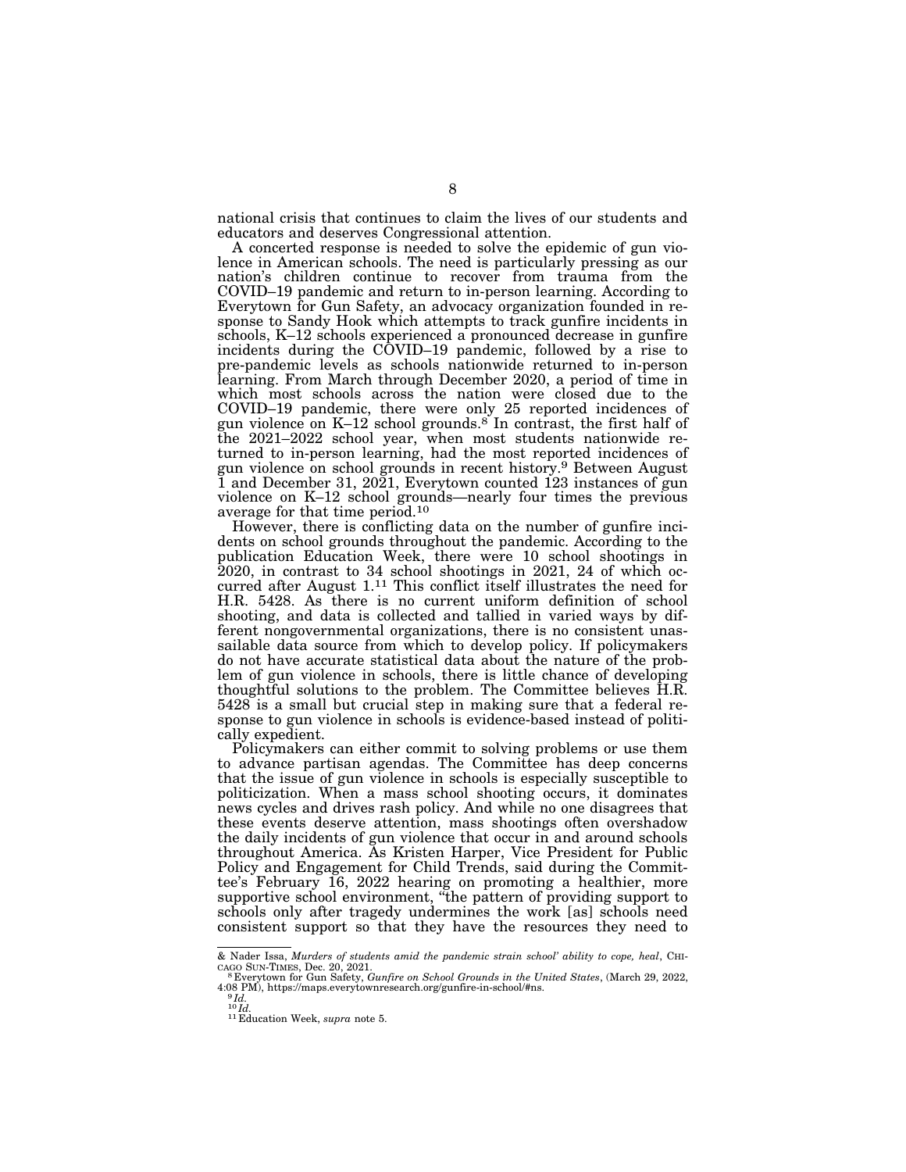national crisis that continues to claim the lives of our students and educators and deserves Congressional attention.

A concerted response is needed to solve the epidemic of gun violence in American schools. The need is particularly pressing as our nation's children continue to recover from trauma from the COVID–19 pandemic and return to in-person learning. According to Everytown for Gun Safety, an advocacy organization founded in response to Sandy Hook which attempts to track gunfire incidents in schools, K–12 schools experienced a pronounced decrease in gunfire incidents during the COVID–19 pandemic, followed by a rise to pre-pandemic levels as schools nationwide returned to in-person learning. From March through December 2020, a period of time in which most schools across the nation were closed due to the COVID–19 pandemic, there were only 25 reported incidences of gun violence on  $K-12$  school grounds.<sup>8</sup> In contrast, the first half of the 2021–2022 school year, when most students nationwide returned to in-person learning, had the most reported incidences of gun violence on school grounds in recent history.9 Between August 1 and December 31, 2021, Everytown counted 123 instances of gun violence on K–12 school grounds—nearly four times the previous average for that time period.10

However, there is conflicting data on the number of gunfire incidents on school grounds throughout the pandemic. According to the publication Education Week, there were 10 school shootings in 2020, in contrast to 34 school shootings in 2021, 24 of which occurred after August 1.11 This conflict itself illustrates the need for H.R. 5428. As there is no current uniform definition of school shooting, and data is collected and tallied in varied ways by different nongovernmental organizations, there is no consistent unassailable data source from which to develop policy. If policymakers do not have accurate statistical data about the nature of the problem of gun violence in schools, there is little chance of developing thoughtful solutions to the problem. The Committee believes H.R. 5428 is a small but crucial step in making sure that a federal response to gun violence in schools is evidence-based instead of politically expedient.

Policymakers can either commit to solving problems or use them to advance partisan agendas. The Committee has deep concerns that the issue of gun violence in schools is especially susceptible to politicization. When a mass school shooting occurs, it dominates news cycles and drives rash policy. And while no one disagrees that these events deserve attention, mass shootings often overshadow the daily incidents of gun violence that occur in and around schools throughout America. As Kristen Harper, Vice President for Public Policy and Engagement for Child Trends, said during the Committee's February 16, 2022 hearing on promoting a healthier, more supportive school environment, ''the pattern of providing support to schools only after tragedy undermines the work [as] schools need consistent support so that they have the resources they need to

<sup>&</sup>amp; Nader Issa, *Murders of students amid the pandemic strain school' ability to cope, heal*, CHI-<br>CAGO SUN-TIMES, Dec. 20, 2021.<br><sup>8</sup> Everytown for Gun Safety, *Gunfire on School Grounds in the United States*, (March 29, 202

<sup>4:08</sup> PM), https://maps.everytownresearch.org/gunfire-in-school/#ns. 9 *Id.* 

<sup>10</sup> *Id.* <sup>11</sup> Education Week, *supra* note 5.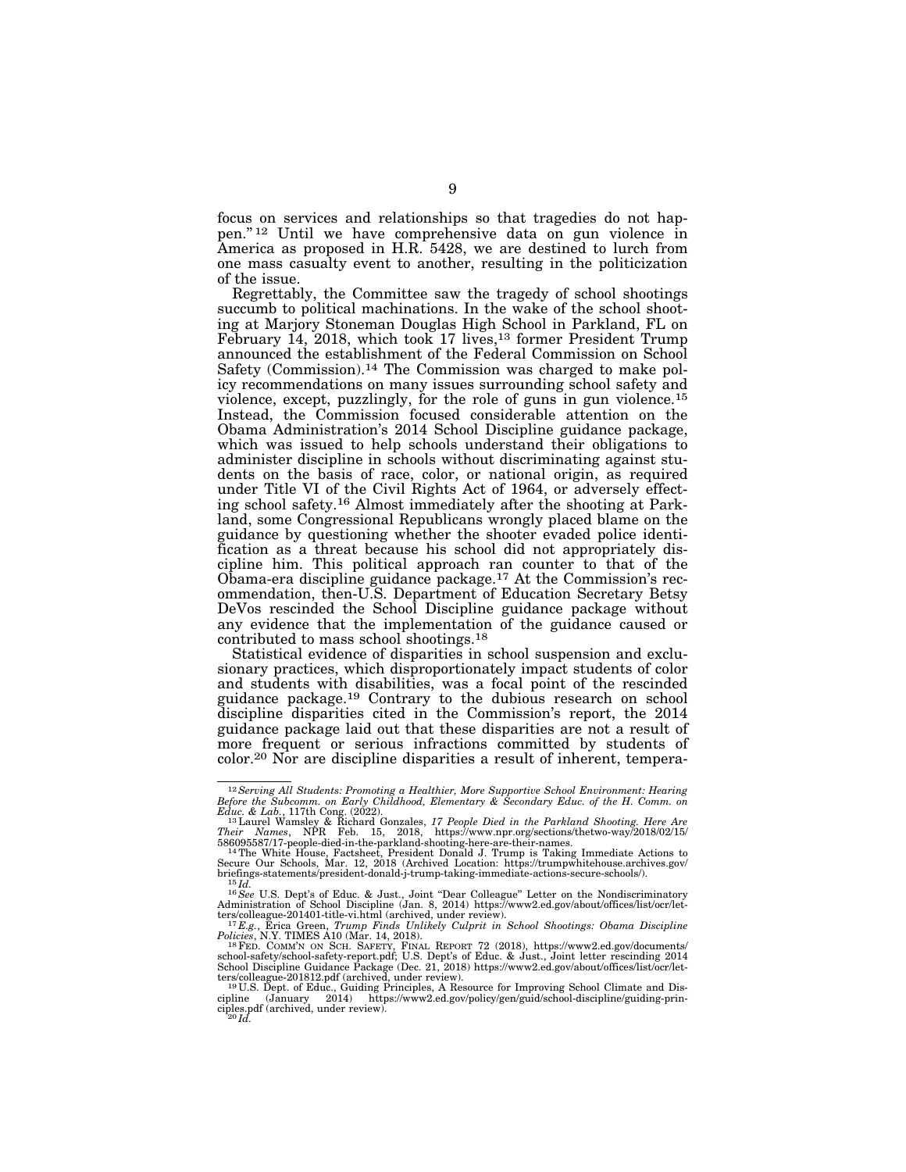focus on services and relationships so that tragedies do not happen.'' 12 Until we have comprehensive data on gun violence in America as proposed in H.R. 5428, we are destined to lurch from one mass casualty event to another, resulting in the politicization of the issue.

Regrettably, the Committee saw the tragedy of school shootings succumb to political machinations. In the wake of the school shooting at Marjory Stoneman Douglas High School in Parkland, FL on February 14, 2018, which took 17 lives,<sup>13</sup> former President Trump announced the establishment of the Federal Commission on School Safety (Commission).14 The Commission was charged to make policy recommendations on many issues surrounding school safety and violence, except, puzzlingly, for the role of guns in gun violence.15 Instead, the Commission focused considerable attention on the Obama Administration's 2014 School Discipline guidance package, which was issued to help schools understand their obligations to administer discipline in schools without discriminating against students on the basis of race, color, or national origin, as required under Title VI of the Civil Rights Act of 1964, or adversely effecting school safety.16 Almost immediately after the shooting at Parkland, some Congressional Republicans wrongly placed blame on the guidance by questioning whether the shooter evaded police identification as a threat because his school did not appropriately discipline him. This political approach ran counter to that of the Obama-era discipline guidance package.17 At the Commission's recommendation, then-U.S. Department of Education Secretary Betsy DeVos rescinded the School Discipline guidance package without any evidence that the implementation of the guidance caused or contributed to mass school shootings.18

Statistical evidence of disparities in school suspension and exclusionary practices, which disproportionately impact students of color and students with disabilities, was a focal point of the rescinded guidance package.19 Contrary to the dubious research on school discipline disparities cited in the Commission's report, the 2014 guidance package laid out that these disparities are not a result of more frequent or serious infractions committed by students of color.20 Nor are discipline disparities a result of inherent, tempera-

<sup>&</sup>lt;sup>12</sup> Serving All Students: Promoting a Healthier, More Supportive School Environment: Hearing *Before the Subcomm.* on *Early Childhood, Elementary & Secondary Educ. of the H. Comm.* on

*Educ. & Lab.,* 117th Cong. (2022).<br><sup>13</sup>Laurel Wamsley & Richard Gonzales, *17 People Died in the Parkland Shooting. Here Are*<br>Their Names, NPR Feb. 15, 2018, https://www.npr.org/sections/thetwo-way/2018/02/15/

<sup>586095587/17-</sup>people-died-in-the-parkland-shooting-here-are-their-names.<br><sup>14</sup>The White House, Factsheet, President Donald J. Trump is Taking Immediate Actions to<br>Secure Our Schools, Mar. 12, 2018 (Archived Location: https:/ briefings-statements/president-donald-j-trump-taking-immediate-actions-secure-schools/).<br>
<sup>15</sup>*Id.*<br>
<sup>16</sup>*See* U.S. Dept's of Educ. & Just., Joint "Dear Colleague" Letter on the Nondiscriminatory

Administration of School Discipline (Jan. 8, 2014) https://www2.ed.gov/about/offices/list/ocr/let-<br>ters/colleague-201401-title-vi.html (archived, under review).<br><sup>17</sup>E.g., Erica Green, Tru*mp Finds Unlikely Culprit in Schoo* 

Policies, N.Y. TIMES A10 (Mar. 14, 2018).<br><sup>18</sup> FeD. COMM'N ON SCH. SAFETY, FINAL REPORT 72 (2018), https://www2.ed.gov/documents/<br>school-safety/school-safety-report.pdf; U.S. Dept's of Educ. & Just., Joint letter rescindin School Discipline Guidance Package (Dec. 21, 2018) https://www2.ed.gov/about/offices/list/ocr/let-<br>ters/colleague-201812.pdf (archived, under review).<br><sup>19</sup>U.S. Dept. of Educ., Guiding Principles, A Resource for Improving S

cipline (January 2014) https://www2.ed.gov/policy/gen/guid/school-discipline/guiding-prin-ciples.pdf (archived, under review). 20 *Id.*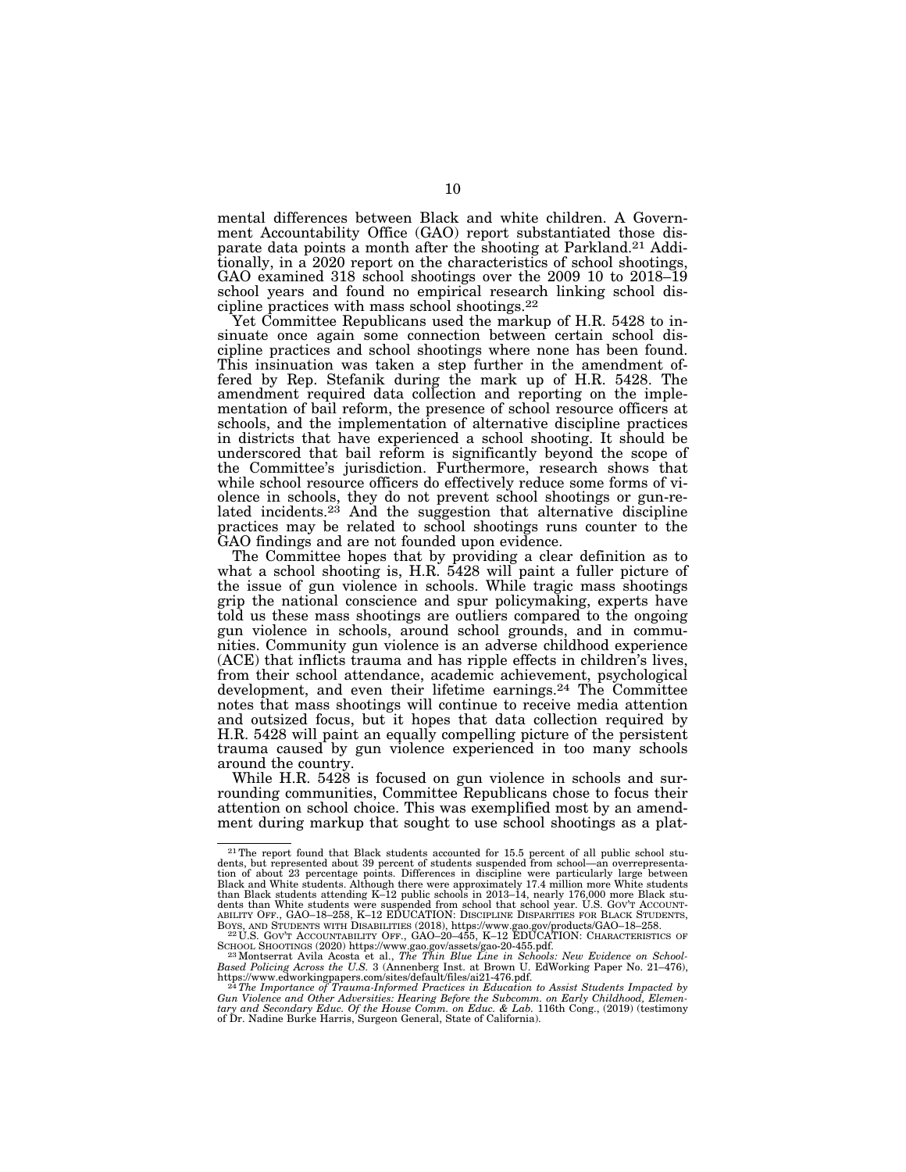mental differences between Black and white children. A Government Accountability Office (GAO) report substantiated those disparate data points a month after the shooting at Parkland.21 Additionally, in a 2020 report on the characteristics of school shootings, GAO examined 318 school shootings over the 2009 10 to 2018–19 school years and found no empirical research linking school discipline practices with mass school shootings.22

Yet Committee Republicans used the markup of H.R. 5428 to insinuate once again some connection between certain school discipline practices and school shootings where none has been found. This insinuation was taken a step further in the amendment offered by Rep. Stefanik during the mark up of H.R. 5428. The amendment required data collection and reporting on the implementation of bail reform, the presence of school resource officers at schools, and the implementation of alternative discipline practices in districts that have experienced a school shooting. It should be underscored that bail reform is significantly beyond the scope of the Committee's jurisdiction. Furthermore, research shows that while school resource officers do effectively reduce some forms of violence in schools, they do not prevent school shootings or gun-related incidents.<sup>23</sup> And the suggestion that alternative discipline practices may be related to school shootings runs counter to the GAO findings and are not founded upon evidence.

The Committee hopes that by providing a clear definition as to what a school shooting is, H.R. 5428 will paint a fuller picture of the issue of gun violence in schools. While tragic mass shootings grip the national conscience and spur policymaking, experts have told us these mass shootings are outliers compared to the ongoing gun violence in schools, around school grounds, and in communities. Community gun violence is an adverse childhood experience (ACE) that inflicts trauma and has ripple effects in children's lives, from their school attendance, academic achievement, psychological development, and even their lifetime earnings.<sup>24</sup> The Committee notes that mass shootings will continue to receive media attention and outsized focus, but it hopes that data collection required by H.R. 5428 will paint an equally compelling picture of the persistent trauma caused by gun violence experienced in too many schools around the country.

While H.R. 5428 is focused on gun violence in schools and surrounding communities, Committee Republicans chose to focus their attention on school choice. This was exemplified most by an amendment during markup that sought to use school shootings as a plat-

<sup>&</sup>lt;sup>21</sup>The report found that Black students accounted for 15.5 percent of all public school stu-<br>dents, but represented about 39 percent of students suspended from school—an overrepresentation of about 23 percentage points. Differences in discipline were particularly large between<br>Black and White students. Although there were approximately 17.4 million more White students<br>than Black students attending K–12 dents than White students were suspended from school that school year. U.S. GOV'T ACCOUNT-<br>ABILITY OFF., GAO-18-258, K-12 EDUCATION: DISCIPLINE DISPARITIES FOR BLACK STUDENTS. ABILITY OFF., GAO–18–258, K–12 EDUCATION: DISCIPLINE DISPARITIES FOR BLACK STUDENTS,<br>BOYS, AND STUDENTS WITH DISABILITIES (2018), https://www.gao.gov/products/GAO–18–258.<br><sup>22</sup>U.S. Gov't Accountability Off., GAO–20–455, K–1

SCHOOL SHOOTINGS (2020) https://www.gao.gov/assets/gao-20-455.pdf. 23Montserrat Avila Acosta et al., *The Thin Blue Line in Schools: New Evidence on School-*

Based Policing Across the U.S. 3 (Annenberg Inst. at Brown U. EdWorking Paper No. 21–476),<br>https://www.edworkingpapers.com/sites/default/files/ai21-476.pdf.<br>- <sup>24</sup>The Importance of Trauma-Informed Practices in Education to

Gun Violence and Other Adversities: Hearing Before the Subcomm. on Early Childhood, Elemen-<br>tary and Secondary Educ. Of the House Comm. on Educ. & Lab. 116th Cong., (2019) (testimony<br>of Dr. Nadine Burke Harris, Surgeon Gen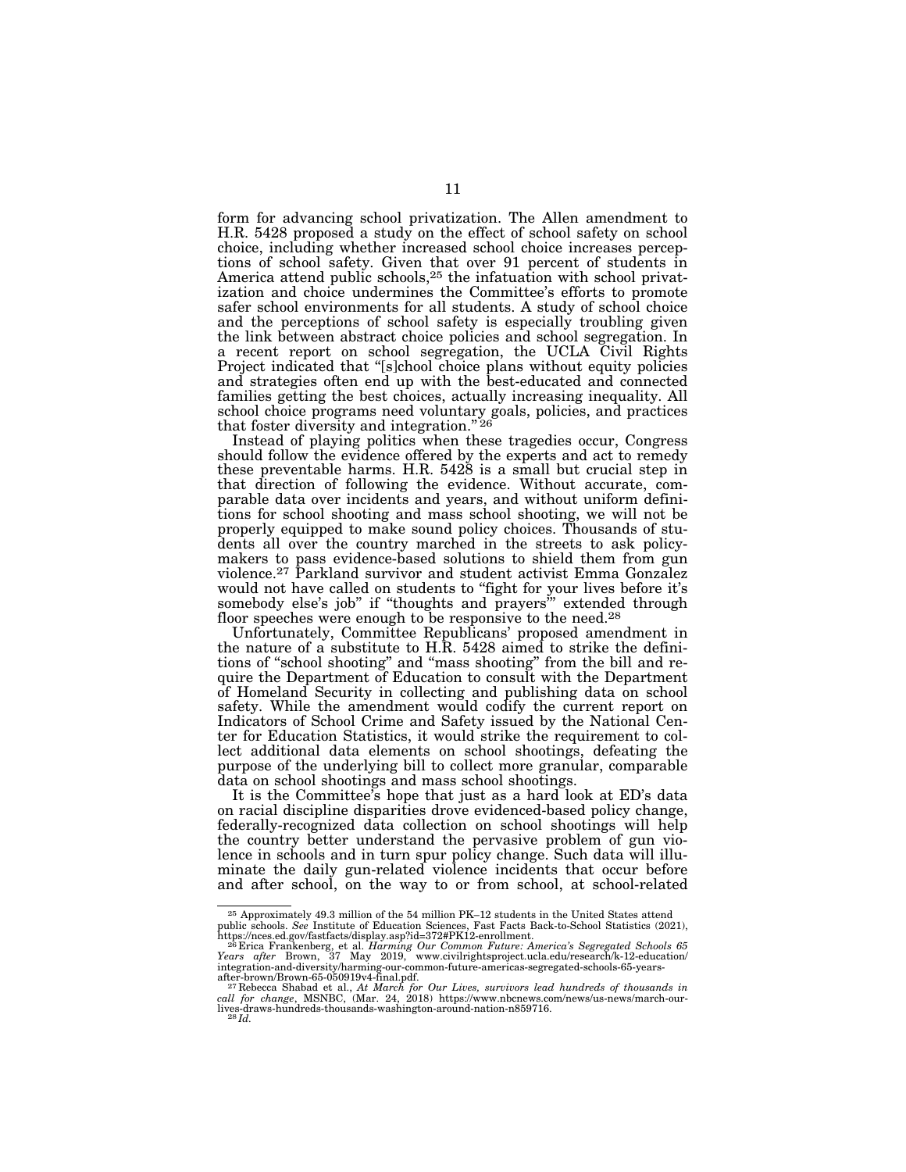form for advancing school privatization. The Allen amendment to H.R. 5428 proposed a study on the effect of school safety on school choice, including whether increased school choice increases perceptions of school safety. Given that over 91 percent of students in America attend public schools,<sup>25</sup> the infatuation with school privatization and choice undermines the Committee's efforts to promote safer school environments for all students. A study of school choice and the perceptions of school safety is especially troubling given the link between abstract choice policies and school segregation. In a recent report on school segregation, the UCLA Civil Rights Project indicated that ''[s]chool choice plans without equity policies and strategies often end up with the best-educated and connected families getting the best choices, actually increasing inequality. All school choice programs need voluntary goals, policies, and practices that foster diversity and integration."<sup>26</sup>

Instead of playing politics when these tragedies occur, Congress should follow the evidence offered by the experts and act to remedy these preventable harms. H.R. 5428 is a small but crucial step in that direction of following the evidence. Without accurate, comparable data over incidents and years, and without uniform definitions for school shooting and mass school shooting, we will not be properly equipped to make sound policy choices. Thousands of students all over the country marched in the streets to ask policymakers to pass evidence-based solutions to shield them from gun violence.27 Parkland survivor and student activist Emma Gonzalez would not have called on students to "fight for your lives before it's somebody else's job" if "thoughts and prayers" extended through floor speeches were enough to be responsive to the need.<sup>28</sup>

Unfortunately, Committee Republicans' proposed amendment in the nature of a substitute to H.R. 5428 aimed to strike the definitions of ''school shooting'' and ''mass shooting'' from the bill and require the Department of Education to consult with the Department of Homeland Security in collecting and publishing data on school safety. While the amendment would codify the current report on Indicators of School Crime and Safety issued by the National Center for Education Statistics, it would strike the requirement to collect additional data elements on school shootings, defeating the purpose of the underlying bill to collect more granular, comparable data on school shootings and mass school shootings.

It is the Committee's hope that just as a hard look at ED's data on racial discipline disparities drove evidenced-based policy change, federally-recognized data collection on school shootings will help the country better understand the pervasive problem of gun violence in schools and in turn spur policy change. Such data will illuminate the daily gun-related violence incidents that occur before and after school, on the way to or from school, at school-related

<sup>25</sup> Approximately 49.3 million of the 54 million PK–12 students in the United States attend public schools. *See* Institute of Education Sciences, Fast Facts Back-to-School Statistics (2021),

https://nces.ed.gov/fastfacts/display.asp?id=372#PK12-enrollment.<br><sup>26</sup> Erica Frankenberg, et al. *Harming Our Common Future: America's Segregated Schools 65*<br>Years a*fter* Brown, 37 May 2019, www.civilrightsproject.u

 $\label{thm:main} \begin{minipage}[t]{0.9\textwidth} \begin{subarray}{l} \begin{subarray}{l} \begin{subarray}{l} \begin{smallmatrix} \begin{smallmatrix} \begin{smallmatrix} \begin{smallmatrix} \begin{smallmatrix} \end{smallmatrix} \end{subarray} & \begin{smallmatrix} \begin{smallmatrix} \end{smallmatrix} \end{subarray} & \begin{smallmatrix} \end{smallmatrix} & \begin{smallmatrix} \end{smallmatrix} & \begin{smallmatrix} \end{smallmatrix} & \begin{smallmatrix} \end{smallmatrix} & \begin{smallmatrix} \end{smallmatrix} & \begin{smallmatrix} \end{smallmatrix} & \begin{smallmatrix} \end{smallmatrix} & \begin{smallmatrix} \end{smallmatrix} &$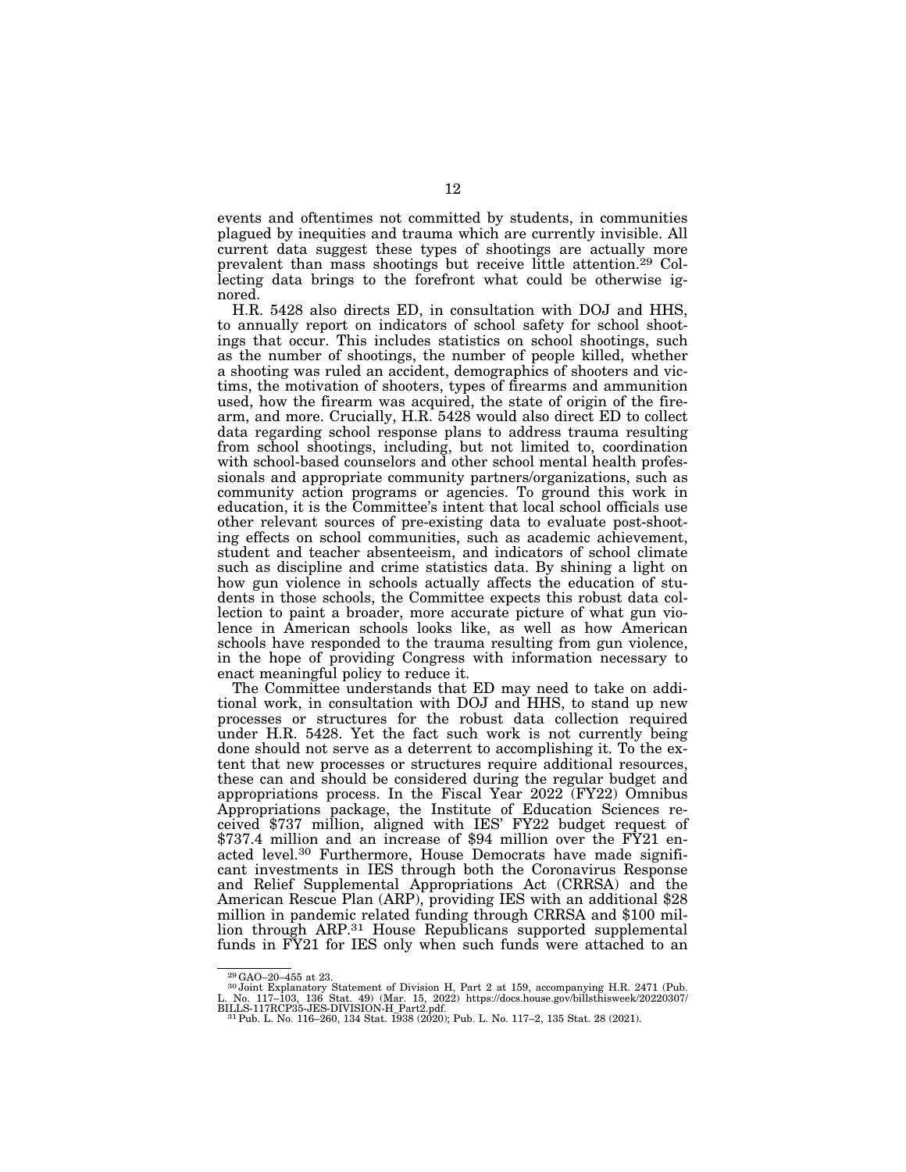events and oftentimes not committed by students, in communities plagued by inequities and trauma which are currently invisible. All current data suggest these types of shootings are actually more prevalent than mass shootings but receive little attention.29 Collecting data brings to the forefront what could be otherwise ignored.

H.R. 5428 also directs ED, in consultation with DOJ and HHS, to annually report on indicators of school safety for school shootings that occur. This includes statistics on school shootings, such as the number of shootings, the number of people killed, whether a shooting was ruled an accident, demographics of shooters and victims, the motivation of shooters, types of firearms and ammunition used, how the firearm was acquired, the state of origin of the firearm, and more. Crucially, H.R. 5428 would also direct ED to collect data regarding school response plans to address trauma resulting from school shootings, including, but not limited to, coordination with school-based counselors and other school mental health professionals and appropriate community partners/organizations, such as community action programs or agencies. To ground this work in education, it is the Committee's intent that local school officials use other relevant sources of pre-existing data to evaluate post-shooting effects on school communities, such as academic achievement, student and teacher absenteeism, and indicators of school climate such as discipline and crime statistics data. By shining a light on how gun violence in schools actually affects the education of students in those schools, the Committee expects this robust data collection to paint a broader, more accurate picture of what gun violence in American schools looks like, as well as how American schools have responded to the trauma resulting from gun violence, in the hope of providing Congress with information necessary to enact meaningful policy to reduce it.

The Committee understands that ED may need to take on additional work, in consultation with DOJ and HHS, to stand up new processes or structures for the robust data collection required under H.R. 5428. Yet the fact such work is not currently being done should not serve as a deterrent to accomplishing it. To the extent that new processes or structures require additional resources, these can and should be considered during the regular budget and appropriations process. In the Fiscal Year 2022 (FY22) Omnibus Appropriations package, the Institute of Education Sciences received \$737 million, aligned with IES' FY22 budget request of \$737.4 million and an increase of \$94 million over the FY21 enacted level.30 Furthermore, House Democrats have made significant investments in IES through both the Coronavirus Response and Relief Supplemental Appropriations Act (CRRSA) and the American Rescue Plan (ARP), providing IES with an additional \$28 million in pandemic related funding through CRRSA and \$100 million through ARP.31 House Republicans supported supplemental funds in FY21 for IES only when such funds were attached to an

<sup>29</sup>GAO–20–455 at 23. 30 Joint Explanatory Statement of Division H, Part 2 at 159, accompanying H.R. 2471 (Pub. L. No. 117–103, 136 Stat. 49) (Mar. 15, 2022) https://docs.house.gov/billsthisweek/20220307/<br>BILLS-117RCP35-JES-DIVISION-H\_Part2.pdf.<br><sup>- 31</sup> Pub. L. No. 116–260, 134 Stat. 1938 (2020); Pub. L. No. 117–2, 135 Stat. 28 (2021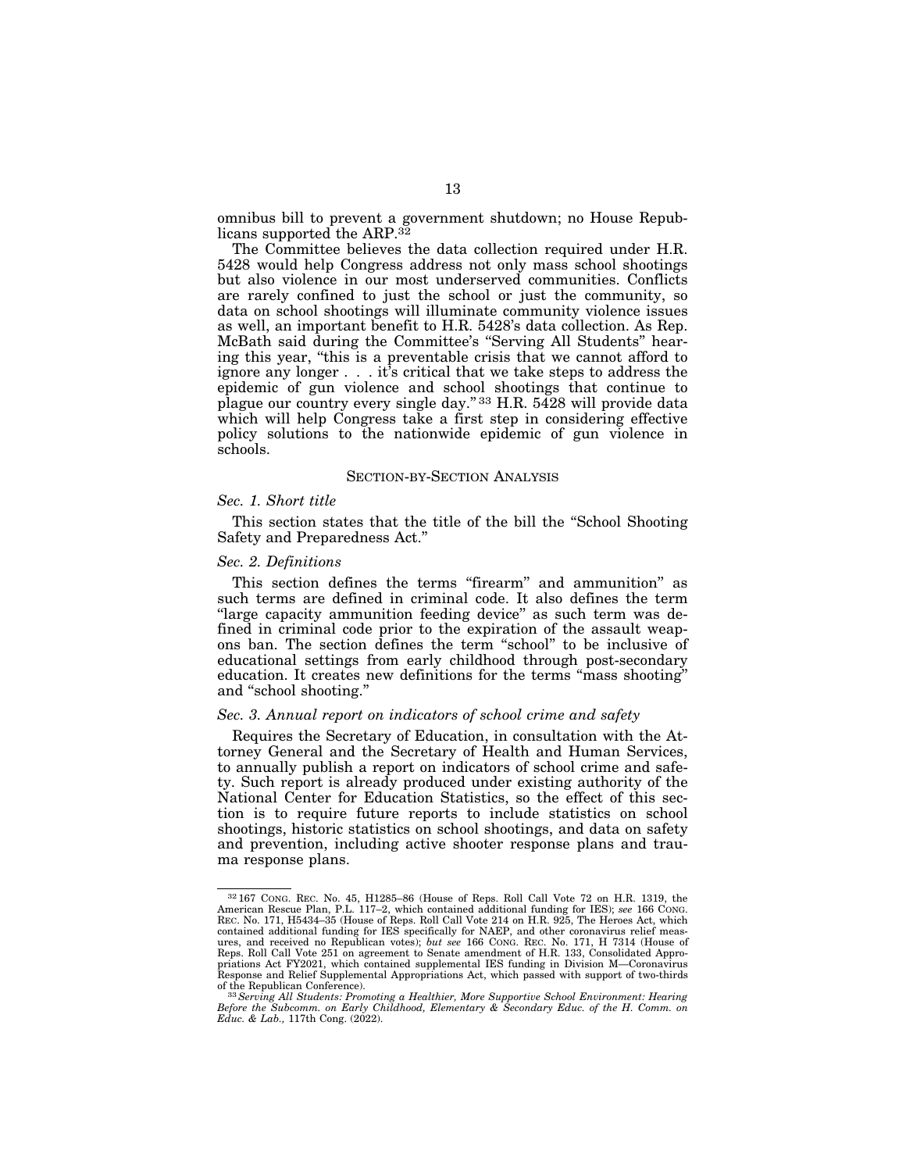omnibus bill to prevent a government shutdown; no House Republicans supported the ARP.32

The Committee believes the data collection required under H.R. 5428 would help Congress address not only mass school shootings but also violence in our most underserved communities. Conflicts are rarely confined to just the school or just the community, so data on school shootings will illuminate community violence issues as well, an important benefit to H.R. 5428's data collection. As Rep. McBath said during the Committee's ''Serving All Students'' hearing this year, ''this is a preventable crisis that we cannot afford to ignore any longer . . . it's critical that we take steps to address the epidemic of gun violence and school shootings that continue to plague our country every single day.'' 33 H.R. 5428 will provide data which will help Congress take a first step in considering effective policy solutions to the nationwide epidemic of gun violence in schools.

#### SECTION-BY-SECTION ANALYSIS

## *Sec. 1. Short title*

This section states that the title of the bill the ''School Shooting Safety and Preparedness Act.''

# *Sec. 2. Definitions*

This section defines the terms "firearm" and ammunition" as such terms are defined in criminal code. It also defines the term "large capacity ammunition feeding device" as such term was defined in criminal code prior to the expiration of the assault weapons ban. The section defines the term ''school'' to be inclusive of educational settings from early childhood through post-secondary education. It creates new definitions for the terms ''mass shooting'' and ''school shooting.''

# *Sec. 3. Annual report on indicators of school crime and safety*

Requires the Secretary of Education, in consultation with the Attorney General and the Secretary of Health and Human Services, to annually publish a report on indicators of school crime and safety. Such report is already produced under existing authority of the National Center for Education Statistics, so the effect of this section is to require future reports to include statistics on school shootings, historic statistics on school shootings, and data on safety and prevention, including active shooter response plans and trauma response plans.

<sup>32</sup> 167 CONG. REC. No. 45, H1285–86 (House of Reps. Roll Call Vote 72 on H.R. 1319, the American Rescue Plan, P.L. 117–2, which contained additional funding for IES); *see* 166 CONG. REC. No. 171, H5434–35 (House of Reps. Roll Call Vote 214 on H.R. 925, The Heroes Act, which contained additional funding for IES specifically for NAEP, and other coronavirus relief meas-ures, and received no Republican votes); *but see* 166 CONG. REC. No. 171, H 7314 (House of Reps. Roll Call Vote 251 on agreement to Senate amendment of H.R. 133, Consolidated Appropriations Act FY2021, which contained supplemental IES funding in Division M—Coronavirus Response and Relief Supplemental Appropriations Act, which passed with support of two-thirds of the Republican Conference). 33*Serving All Students: Promoting a Healthier, More Supportive School Environment: Hearing* 

*Before the Subcomm. on Early Childhood, Elementary & Secondary Educ. of the H. Comm. on Educ. & Lab.*, 117th Cong. (2022).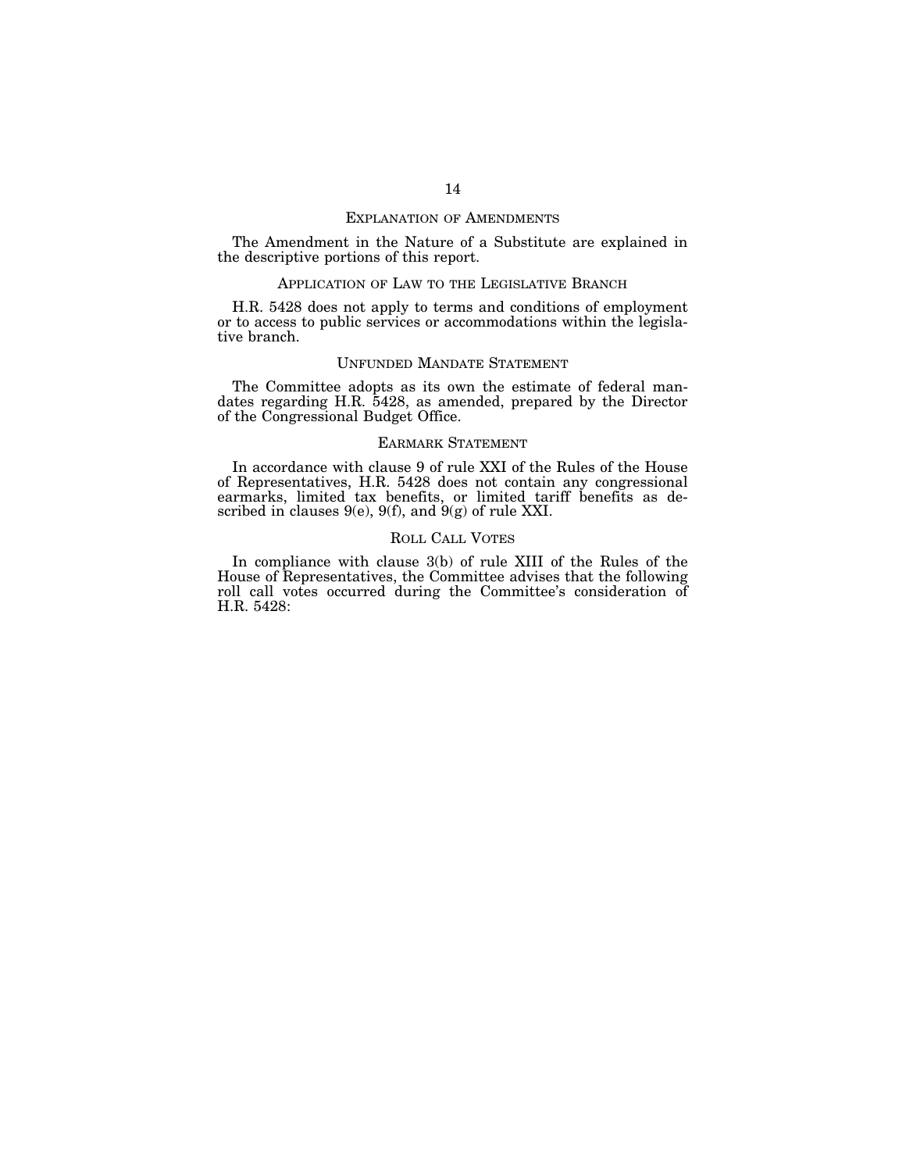#### EXPLANATION OF AMENDMENTS

The Amendment in the Nature of a Substitute are explained in the descriptive portions of this report.

# APPLICATION OF LAW TO THE LEGISLATIVE BRANCH

H.R. 5428 does not apply to terms and conditions of employment or to access to public services or accommodations within the legislative branch.

#### UNFUNDED MANDATE STATEMENT

The Committee adopts as its own the estimate of federal mandates regarding H.R. 5428, as amended, prepared by the Director of the Congressional Budget Office.

# EARMARK STATEMENT

In accordance with clause 9 of rule XXI of the Rules of the House of Representatives, H.R. 5428 does not contain any congressional earmarks, limited tax benefits, or limited tariff benefits as described in clauses  $9(e)$ ,  $9(f)$ , and  $9(g)$  of rule XXI.

# ROLL CALL VOTES

In compliance with clause 3(b) of rule XIII of the Rules of the House of Representatives, the Committee advises that the following roll call votes occurred during the Committee's consideration of H.R. 5428: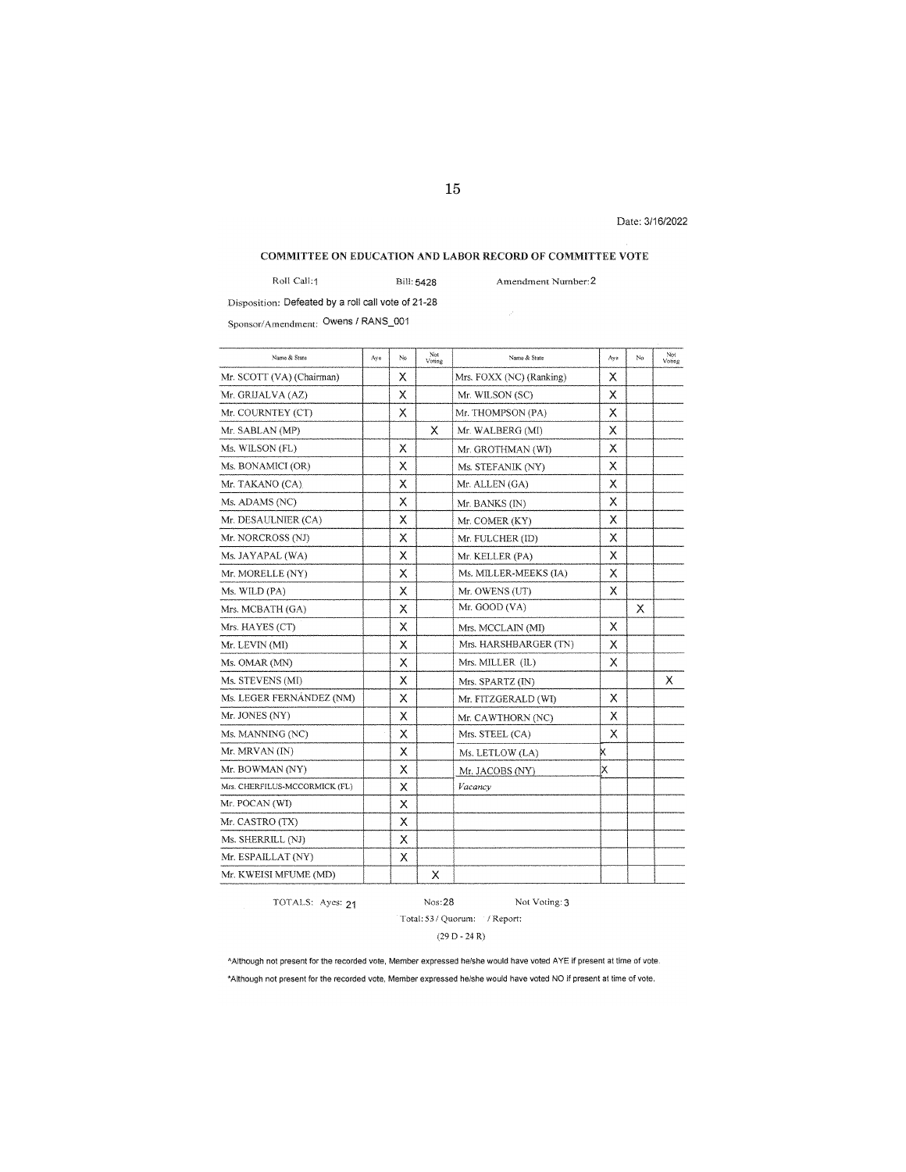Date: 3/16/2022

# COMMITTEE ON EDUCATION AND LABOR RECORD OF COMMITTEE VOTE

Roll Call:1 Bill: 5428

**Amendment Number:2** 

Disposition: Defeated by a roll call vote of 21-28

Sponsor/Amendment: Owens / RANS\_001

| Name & State                  | Aye | No | Not<br>Voting | Name & State             | Aye | No | Not<br>Voting |
|-------------------------------|-----|----|---------------|--------------------------|-----|----|---------------|
| Mr. SCOTT (VA) (Chairman)     |     | x  |               | Mrs. FOXX (NC) (Ranking) | Χ   |    |               |
| Mr. GRIJALVA (AZ)             |     | X  |               | Mr. WILSON (SC)          | х   |    |               |
| Mr. COURNTEY (CT)             |     | X  |               | Mr. THOMPSON (PA)        | X   |    |               |
| Mr. SABLAN (MP)               |     |    | х             | Mr. WALBERG (MI)         | х   |    |               |
| Ms. WILSON (FL)               |     | X  |               | Mr. GROTHMAN (WI)        | X   |    |               |
| Ms. BONAMICI (OR)             |     | X  |               | Ms. STEFANIK (NY)        | х   |    |               |
| Mr. TAKANO (CA)               |     | X  |               | Mr. ALLEN (GA)           | X   |    |               |
| Ms. ADAMS (NC)                |     | X  |               | Mr. BANKS (IN)           | х   |    |               |
| Mr. DESAULNIER (CA)           |     | X  |               | Mr. COMER (KY)           | X   |    |               |
| Mr. NORCROSS (NJ)             |     | Χ  |               | Mr. FULCHER (ID)         | х   |    |               |
| Ms. JAYAPAL (WA)              |     | X  |               | Mr. KELLER (PA)          | X   |    |               |
| Mr. MORELLE (NY)              |     | X  |               | Ms. MILLER-MEEKS (IA)    | Χ   |    |               |
| Ms. WILD (PA)                 |     | X  |               | Mr. OWENS (UT)           | X   |    |               |
| Mrs. MCBATH (GA)              |     | Χ  |               | Mr. GOOD (VA)            |     | Χ  |               |
| Mrs. HAYES (CT)               |     | Χ  |               | Mrs. MCCLAIN (MI)        | X   |    |               |
| Mr. LEVIN (MI)                |     | Х  |               | Mrs. HARSHBARGER (TN)    | Х   |    |               |
| Ms. OMAR (MN)                 |     | X  |               | Mrs. MILLER (IL)         | X   |    |               |
| Ms. STEVENS (MI)              |     | Χ  |               | Mrs. SPARTZ (IN)         |     |    | x             |
| Ms. LEGER FERNÁNDEZ (NM)      |     | X  |               | Mr. FITZGERALD (WI)      | X   |    |               |
| Mr. JONES (NY)                |     | х  |               | Mr. CAWTHORN (NC)        | X   |    |               |
| Ms. MANNING (NC)              |     | X  |               | Mrs. STEEL (CA)          | X   |    |               |
| Mr. MRVAN (IN)                |     | Χ  |               | Ms. LETLOW (LA)          | K   |    |               |
| Mr. BOWMAN (NY)               |     | X  |               | Mr. JACOBS (NY)          | X   |    |               |
| Mrs. CHERFILUS-MCCORMICK (FL) |     | X  |               | Vacancy                  |     |    |               |
| Mr. POCAN (WI)                |     | X  |               |                          |     |    |               |
| Mr. CASTRO (TX)               |     | X  |               |                          |     |    |               |
| Ms. SHERRILL (NJ)             |     | X  |               |                          |     |    |               |
| Mr. ESPAILLAT (NY)            |     | X  |               |                          |     |    |               |
| Mr. KWEISI MFUME (MD)         |     |    | X             |                          |     |    |               |

TOTALS: Ayes: 21 Nos:28

# Not Voting: 3

# **Total: 53 / Quorum: I Report:**

(29 D-24 R)

'Although not present for the recorded vote, Member expressed he/she would have voted A YE if present at time of vote. **\*Although not present for the recorded vote, Member expressed he/she would have voted NO if present at time of vote,**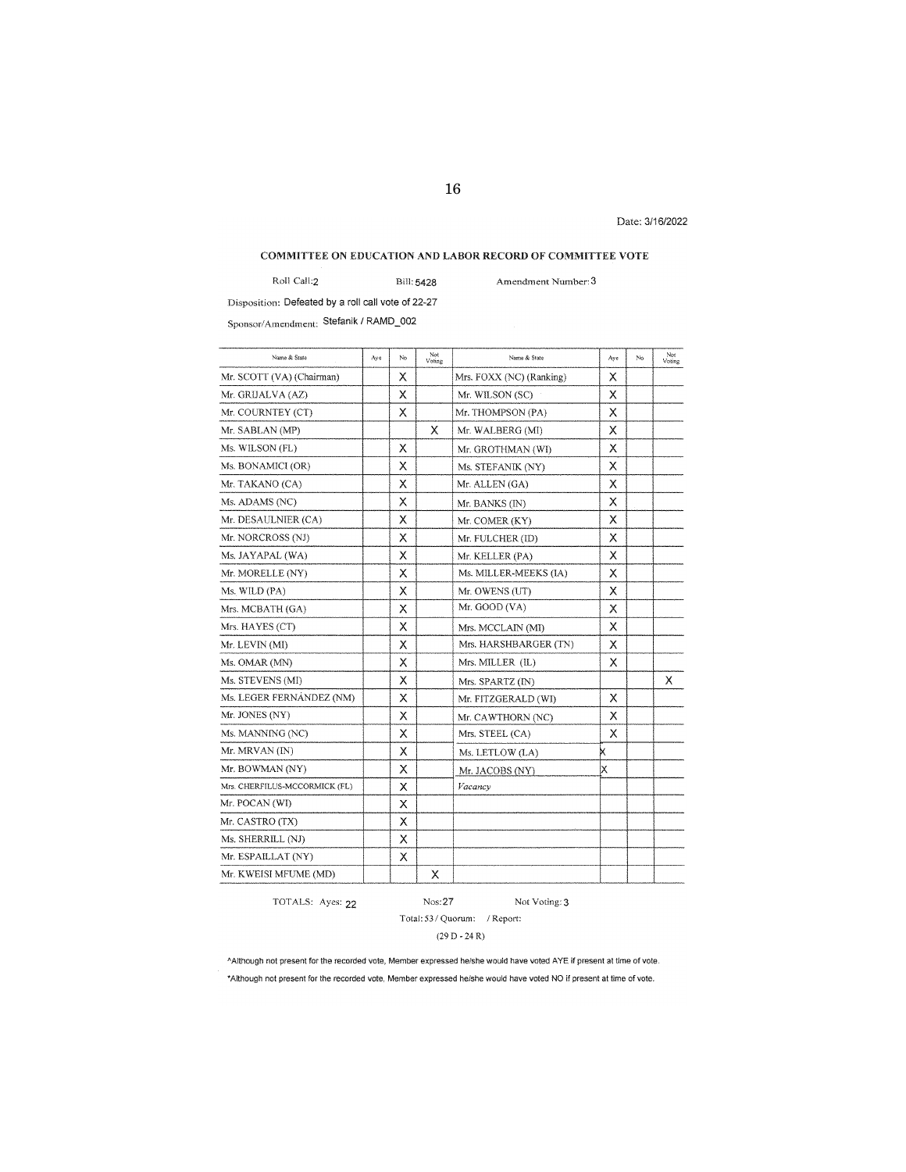Date: 3116/2022

# **COMMITTEE ON EDUCATION AND LABOR RECORD OF COMMITTEE VOTE**

Roll Call:2 Bill:5428 **Amendment Number: 3** 

Disposition: Defeated by a roll call vote of 22-27

Sponsor/Amendment: Stefanik I RAMO\_002

| Name & State                  | Aye | No | Not<br>Voting | Name & State             | Ave | No | Not<br>Voting |
|-------------------------------|-----|----|---------------|--------------------------|-----|----|---------------|
| Mr. SCOTT (VA) (Chairman)     |     | Χ  |               | Mrs. FOXX (NC) (Ranking) | X   |    |               |
| Mr. GRIJALVA (AZ)             |     | Χ  |               | Mr. WILSON (SC)          | х   |    |               |
| Mr. COURNTEY (CT)             |     | Χ  |               | Mr. THOMPSON (PA)        | Х   |    |               |
| Mr. SABLAN (MP)               |     |    | х             | Mr. WALBERG (MI)         | х   |    |               |
| Ms. WILSON (FL)               |     | х  |               | Mr. GROTHMAN (WI)        | X   |    |               |
| Ms. BONAMICI (OR)             |     | Χ  |               | Ms. STEFANIK (NY)        | Х   |    |               |
| Mr. TAKANO (CA)               |     | X  |               | Mr. ALLEN (GA)           | X   |    |               |
| Ms. ADAMS (NC)                |     | χ  |               | Mr. BANKS (IN)           | х   |    |               |
| Mr. DESAULNIER (CA)           |     | Χ  |               | Mr. COMER (KY)           | X   |    |               |
| Mr. NORCROSS (NJ)             |     | Χ  |               | Mr. FULCHER (ID)         | X   |    |               |
| Ms. JAYAPAL (WA)              |     | Χ  |               | Mr. KELLER (PA)          | Х   |    |               |
| Mr. MORELLE (NY)              |     | Χ  |               | Ms. MILLER-MEEKS (IA)    | Х   |    |               |
| Ms. WILD (PA)                 |     | Χ  |               | Mr. OWENS (UT)           | X   |    |               |
| Mrs. MCBATH (GA)              |     | Х  |               | Mr. GOOD (VA)            | x   |    |               |
| Mrs. HAYES (CT)               |     | Χ  |               | Mrs. MCCLAIN (MI)        | Χ   |    |               |
| Mr. LEVIN (MI)                |     | Х  |               | Mrs. HARSHBARGER (TN)    | X   |    |               |
| Ms. OMAR (MN)                 |     | Х  |               | Mrs. MILLER (IL)         | x   |    |               |
| Ms. STEVENS (MI)              |     | X  |               | Mrs. SPARTZ (IN)         |     |    | х             |
| Ms. LEGER FERNÁNDEZ (NM)      |     | X  |               | Mr. FITZGERALD (WI)      | X   |    |               |
| Mr. JONES (NY)                |     | X  |               | Mr. CAWTHORN (NC)        | Χ   |    |               |
| Ms. MANNING (NC)              |     | Χ  |               | Mrs. STEEL (CA)          | Χ   |    |               |
| Mr. MRVAN (IN)                |     | Χ  |               | Ms. LETLOW (LA)          | ĸ   |    |               |
| Mr. BOWMAN (NY)               |     | Χ  |               | Mr. JACOBS (NY)          | ΙX  |    |               |
| Mrs. CHERFILUS-MCCORMICK (FL) |     | x  |               | Vacancy                  |     |    |               |
| Mr. POCAN (WI)                |     | X  |               |                          |     |    |               |
| Mr. CASTRO (TX)               |     | х  |               |                          |     |    |               |
| Ms. SHERRILL (NJ)             |     | X  |               |                          |     |    |               |
| Mr. ESPAILLAT (NY)            |     | X  |               |                          |     |    |               |
| Mr. KWEISI MFUME (MD)         |     |    | Х             |                          |     |    |               |

TOTALS: Ayes: 22

# Nos:27 Not Voting: 3

# Total: 53 / Quorum: / Report:

 $(29 D - 24 R)$ 

'Although not present for the recorded vote, Member expressed he/she would have voted AYE if present at time of vote. **\*Although not present for the recorded vote, Member expressed he/she would have voted NO if present at time of vote.**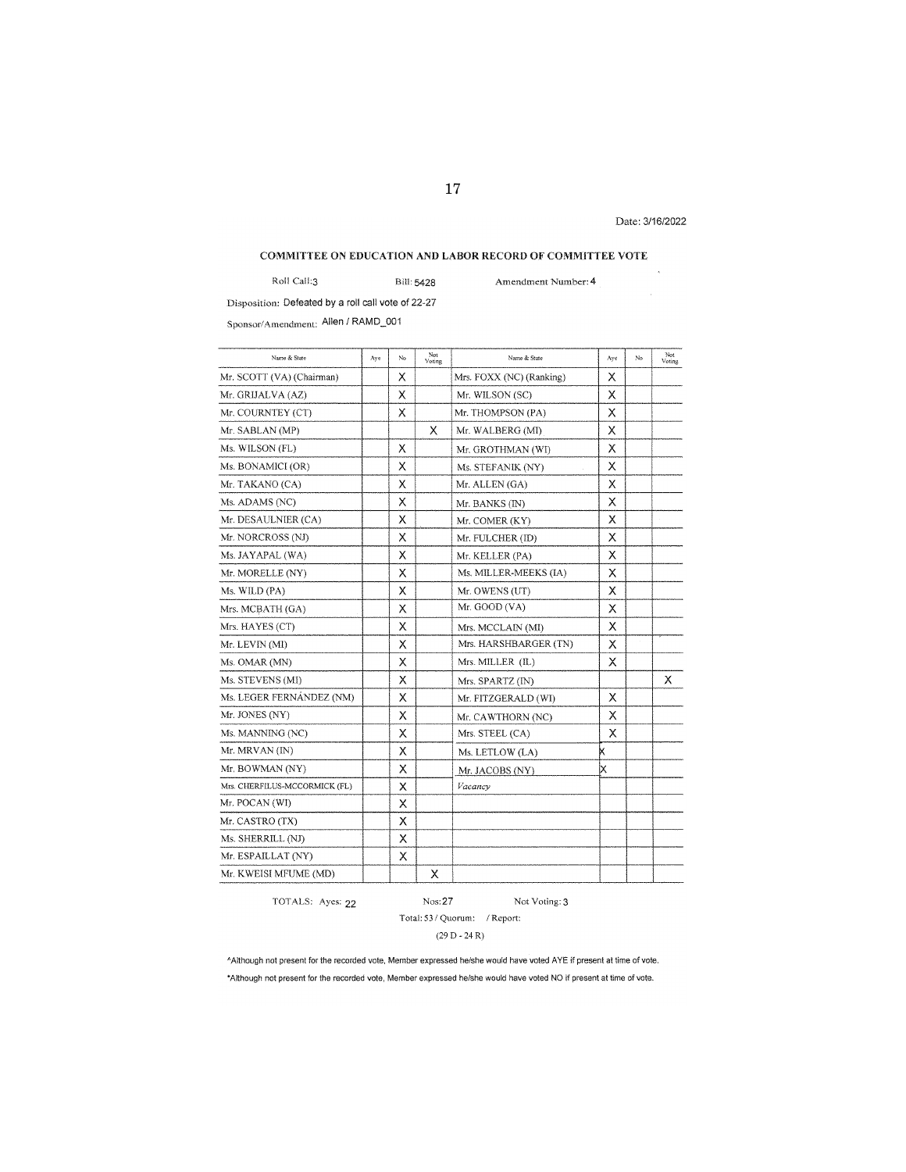Date: 3/16/2022

# **COMMITTEE ON EDUCATION AND LABOR RECORD OF COMMITTEE VOTE**

Roll Call:3 Bill: 5428

**Amendment Number: 4** 

Disposition: Defeated by a roll call vote of 22-27

Sponsor/Amendment: Allen/ RAMD\_001

| Name & State                  | Aye | No | Not<br>Voting | Name & State             | Aye | No | Not<br>Voting |
|-------------------------------|-----|----|---------------|--------------------------|-----|----|---------------|
| Mr. SCOTT (VA) (Chairman)     |     | х  |               | Mrs. FOXX (NC) (Ranking) | Χ   |    |               |
| Mr. GRIJALVA (AZ)             |     | Χ  |               | Mr. WILSON (SC)          | Χ   |    |               |
| Mr. COURNTEY (CT)             |     | Χ  |               | Mr. THOMPSON (PA)        | X   |    |               |
| Mr. SABLAN (MP)               |     |    | X             | Mr. WALBERG (MI)         | X   |    |               |
| Ms. WILSON (FL)               |     | X  |               | Mr. GROTHMAN (WI)        | X   |    |               |
| Ms. BONAMICI (OR)             |     | Χ  |               | Ms. STEFANIK (NY)        | Χ   |    |               |
| Mr. TAKANO (CA)               |     | x  |               | Mr. ALLEN (GA)           | х   |    |               |
| Ms. ADAMS (NC)                |     | X  |               | Mr. BANKS (IN)           | X   |    |               |
| Mr. DESAULNIER (CA)           |     | X  |               | Mr. COMER (KY)           | X   |    |               |
| Mr. NORCROSS (NJ)             |     | X  |               | Mr. FULCHER (ID)         | X   |    |               |
| Ms. JAYAPAL (WA)              |     | Χ  |               | Mr. KELLER (PA)          | х   |    |               |
| Mr. MORELLE (NY)              |     | Χ  |               | Ms. MILLER-MEEKS (IA)    | х   |    |               |
| Ms. WILD (PA)                 |     | х  |               | Mr. OWENS (UT)           | X   |    |               |
| Mrs. MCBATH (GA)              |     | X  |               | Mr. GOOD (VA)            | x   |    |               |
| Mrs. HAYES (CT)               |     | х  |               | Mrs. MCCLAIN (MI)        | X   |    |               |
| Mr. LEVIN (MI)                |     | Χ  |               | Mrs. HARSHBARGER (TN)    | x   |    |               |
| Ms. OMAR (MN)                 |     | Χ  |               | Mrs. MILLER (IL)         | X   |    |               |
| Ms. STEVENS (MI)              |     | X  |               | Mrs. SPARTZ (IN)         |     |    | х             |
| Ms. LEGER FERNÁNDEZ (NM)      |     | Χ  |               | Mr. FITZGERALD (WI)      | X   |    |               |
| Mr. JONES (NY)                |     | X  |               | Mr. CAWTHORN (NC)        | X   |    |               |
| Ms. MANNING (NC)              |     | χ  |               | Mrs. STEEL (CA)          | X   |    |               |
| Mr. MRVAN (IN)                |     | Χ  |               | Ms. LETLOW (LA)          | X   |    |               |
| Mr. BOWMAN (NY)               |     | X  |               | Mr. JACOBS (NY)          | Χ   |    |               |
| Mrs. CHERFILUS-MCCORMICK (FL) |     | X  |               | Vacancy                  |     |    |               |
| Mr. POCAN (WI)                |     | X  |               |                          |     |    |               |
| Mr. CASTRO (TX)               |     | X  |               |                          |     |    |               |
| Ms. SHERRILL (NJ)             |     | X  |               |                          |     |    |               |
| Mr. ESPAILLAT (NY)            |     | X  |               |                          |     |    |               |
| Mr. KWEISI MFUME (MD)         |     |    | Х             |                          |     |    |               |

TOTALS: Ayes: 22 Nos: 27

Not Voting: 3 **Total: 53 / Quorum: I Report:** 

 $(29 D - 24 R)$ 

<sup>A</sup>Although not present for the recorded vote, Member expressed he/she would have voted AYE if present at time of vote. **"'Although not present for the recorded vote, Member expressed he/she would have voted NO lf present at time of vote.**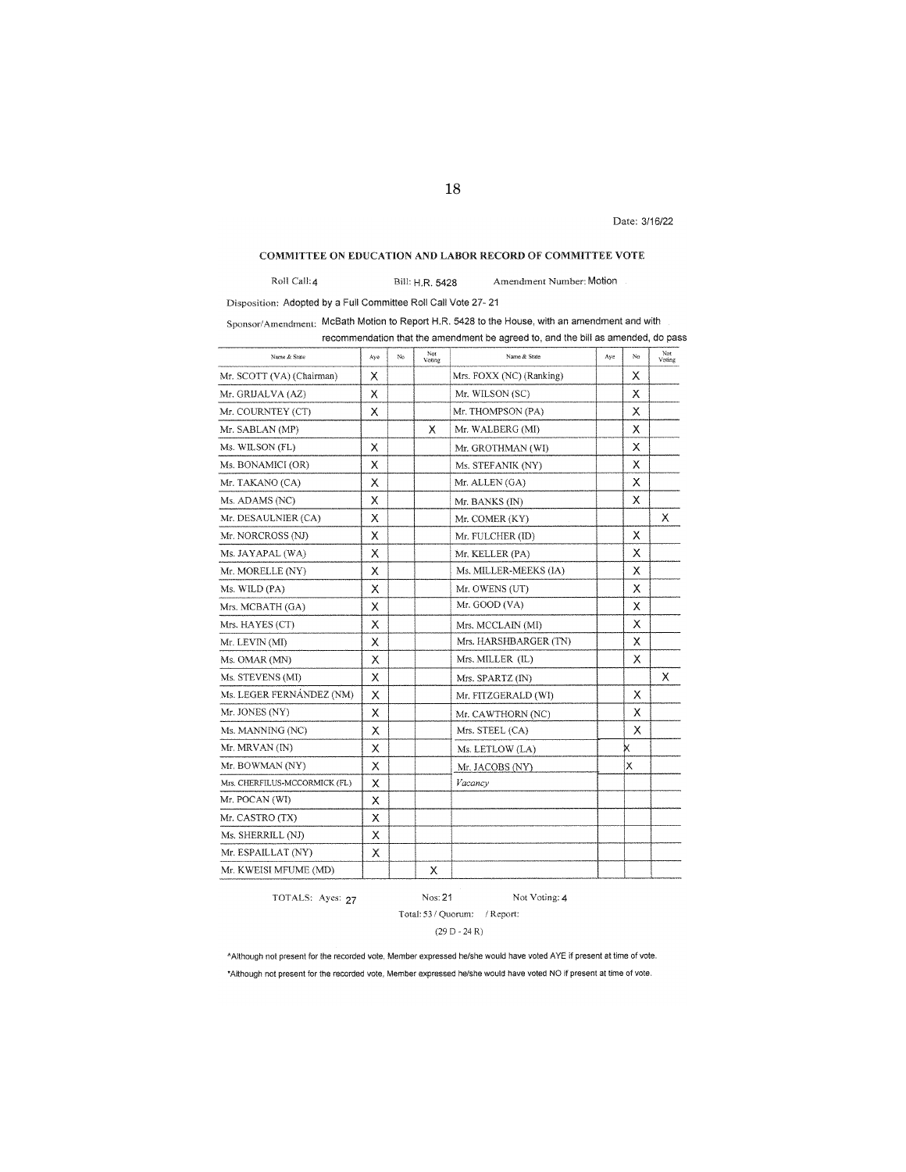Date: 3116122

# **COMMITTEE ON EDUCATION AND LABOR RECORD OF COMMITTEE VOTE**

Roll Call:4 Bill: HR 5428 Amendment Number: Motion

Disposition: Adopted by a Full Committee Roll Call Vote 27- 21

Sponsor/Amendment: McBath Motion to Report H.R. 5428 to the House. with an amendment and with recommendation that the amendment be agreed to, and the bill as amended, do pass

| Name & State                  | Ave | No | Not<br>Voting | Name & State             | Aye | No | Not<br>Voting |
|-------------------------------|-----|----|---------------|--------------------------|-----|----|---------------|
| Mr. SCOTT (VA) (Chairman)     | X   |    |               | Mrs. FOXX (NC) (Ranking) |     | X  |               |
| Mr. GRIJALVA (AZ)             | Χ   |    |               | Mr. WILSON (SC)          |     | х  |               |
| Mr. COURNTEY (CT)             | X   |    |               | Mr. THOMPSON (PA)        |     | X  |               |
| Mr. SABLAN (MP)               |     |    | х             | Mr. WALBERG (MI)         |     | X  |               |
| Ms. WILSON (FL)               | X   |    |               | Mr. GROTHMAN (WI)        |     | X  |               |
| Ms. BONAMICI (OR)             | X   |    |               | Ms. STEFANIK (NY)        |     | X  |               |
| Mr. TAKANO (CA)               | х   |    |               | Mr. ALLEN (GA)           |     | X  |               |
| Ms. ADAMS (NC)                | Χ   |    |               | Mr. BANKS (IN)           |     | Χ  |               |
| Mr. DESAULNIER (CA)           | х   |    |               | Mr. COMER (KY)           |     |    | X             |
| Mr. NORCROSS (NJ)             | х   |    |               | Mr. FULCHER (ID)         |     | X  |               |
| Ms. JAYAPAL (WA)              | Χ   |    |               | Mr. KELLER (PA)          |     | X  |               |
| Mr. MORELLE (NY)              | X   |    |               | Ms. MILLER-MEEKS (IA)    |     | х  |               |
| Ms. WILD (PA)                 | Χ   |    |               | Mr. OWENS (UT)           |     | Х  |               |
| Mrs. MCBATH (GA)              | х   |    |               | Mr. GOOD (VA)            |     | Χ  |               |
| Mrs. HAYES (CT)               | X   |    |               | Mrs. MCCLAIN (MI)        |     | х  |               |
| Mr. LEVIN (MI)                | Χ   |    |               | Mrs. HARSHBARGER (TN)    |     | X  |               |
| Ms. OMAR (MN)                 | Χ   |    |               | Mrs. MILLER (IL)         |     | Χ  |               |
| Ms. STEVENS (MI)              | Χ   |    |               | Mrs. SPARTZ (IN)         |     |    | Χ             |
| Ms. LEGER FERNÁNDEZ (NM)      | Х   |    |               | Mr. FITZGERALD (WI)      |     | X  |               |
| Mr. JONES (NY)                | X   |    |               | Mr. CAWTHORN (NC)        |     | X  |               |
| Ms. MANNING (NC)              | X   |    |               | Mrs. STEEL (CA)          |     | X  |               |
| Mr. MRVAN (IN)                | Χ   |    |               | Ms. LETLOW (LA)          |     |    |               |
| Mr. BOWMAN (NY)               | Χ   |    |               | Mr. JACOBS (NY)          |     | X  |               |
| Mrs. CHERFILUS-MCCORMICK (FL) | X   |    |               | Vacancy                  |     |    |               |
| Mr. POCAN (WI)                | X   |    |               |                          |     |    |               |
| Mr. CASTRO (TX)               | X   |    |               |                          |     |    |               |
| Ms, SHERRILL (NJ)             | х   |    |               |                          |     |    |               |
| Mr. ESPAILLAT (NY)            | х   |    |               |                          |     |    |               |
| Mr. KWEISI MFUME (MD)         |     |    | X             |                          |     |    |               |

TOTALS: Ayes: 27

Nos:21 Not Voting: 4

Total: 53 / Quorum: / Report:

 $(29 D - 24 R)$ 

^Although not present for the recorded vote, Member expressed he/she would have voted AYE if present at time of vote. \*Although not present for the recorded vote, Member expressed he/she would have voted NO if present at time of vote.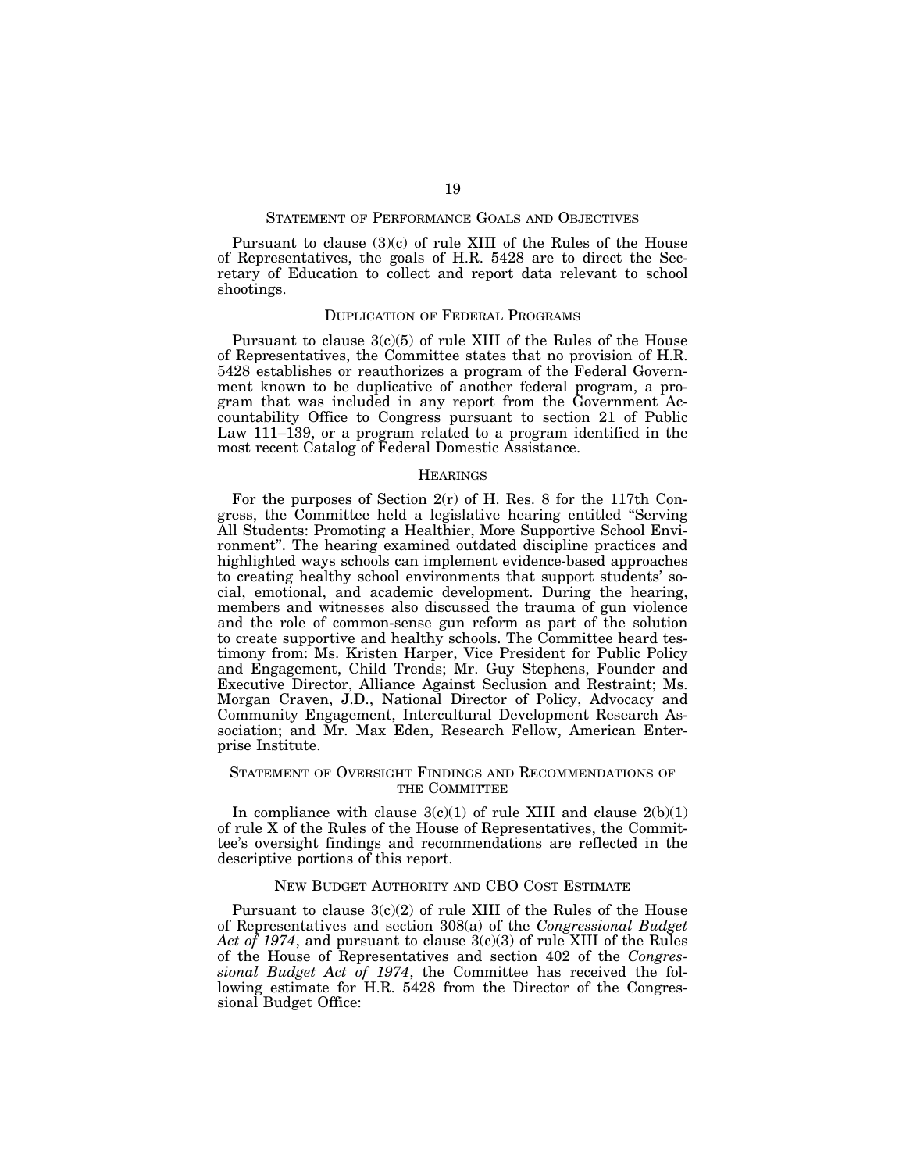# STATEMENT OF PERFORMANCE GOALS AND OBJECTIVES

Pursuant to clause (3)(c) of rule XIII of the Rules of the House of Representatives, the goals of H.R. 5428 are to direct the Secretary of Education to collect and report data relevant to school shootings.

#### DUPLICATION OF FEDERAL PROGRAMS

Pursuant to clause  $3(c)(5)$  of rule XIII of the Rules of the House of Representatives, the Committee states that no provision of H.R. 5428 establishes or reauthorizes a program of the Federal Government known to be duplicative of another federal program, a program that was included in any report from the Government Accountability Office to Congress pursuant to section 21 of Public Law 111–139, or a program related to a program identified in the most recent Catalog of Federal Domestic Assistance.

#### **HEARINGS**

For the purposes of Section  $2(r)$  of H. Res. 8 for the 117th Congress, the Committee held a legislative hearing entitled ''Serving All Students: Promoting a Healthier, More Supportive School Environment''. The hearing examined outdated discipline practices and highlighted ways schools can implement evidence-based approaches to creating healthy school environments that support students' social, emotional, and academic development. During the hearing, members and witnesses also discussed the trauma of gun violence and the role of common-sense gun reform as part of the solution to create supportive and healthy schools. The Committee heard testimony from: Ms. Kristen Harper, Vice President for Public Policy and Engagement, Child Trends; Mr. Guy Stephens, Founder and Executive Director, Alliance Against Seclusion and Restraint; Ms. Morgan Craven, J.D., National Director of Policy, Advocacy and Community Engagement, Intercultural Development Research Association; and Mr. Max Eden, Research Fellow, American Enterprise Institute.

# STATEMENT OF OVERSIGHT FINDINGS AND RECOMMENDATIONS OF THE COMMITTEE

In compliance with clause  $3(c)(1)$  of rule XIII and clause  $2(b)(1)$ of rule X of the Rules of the House of Representatives, the Committee's oversight findings and recommendations are reflected in the descriptive portions of this report.

#### NEW BUDGET AUTHORITY AND CBO COST ESTIMATE

Pursuant to clause 3(c)(2) of rule XIII of the Rules of the House of Representatives and section 308(a) of the *Congressional Budget Act of 1974*, and pursuant to clause 3(c)(3) of rule XIII of the Rules of the House of Representatives and section 402 of the *Congressional Budget Act of 1974*, the Committee has received the following estimate for H.R. 5428 from the Director of the Congressional Budget Office: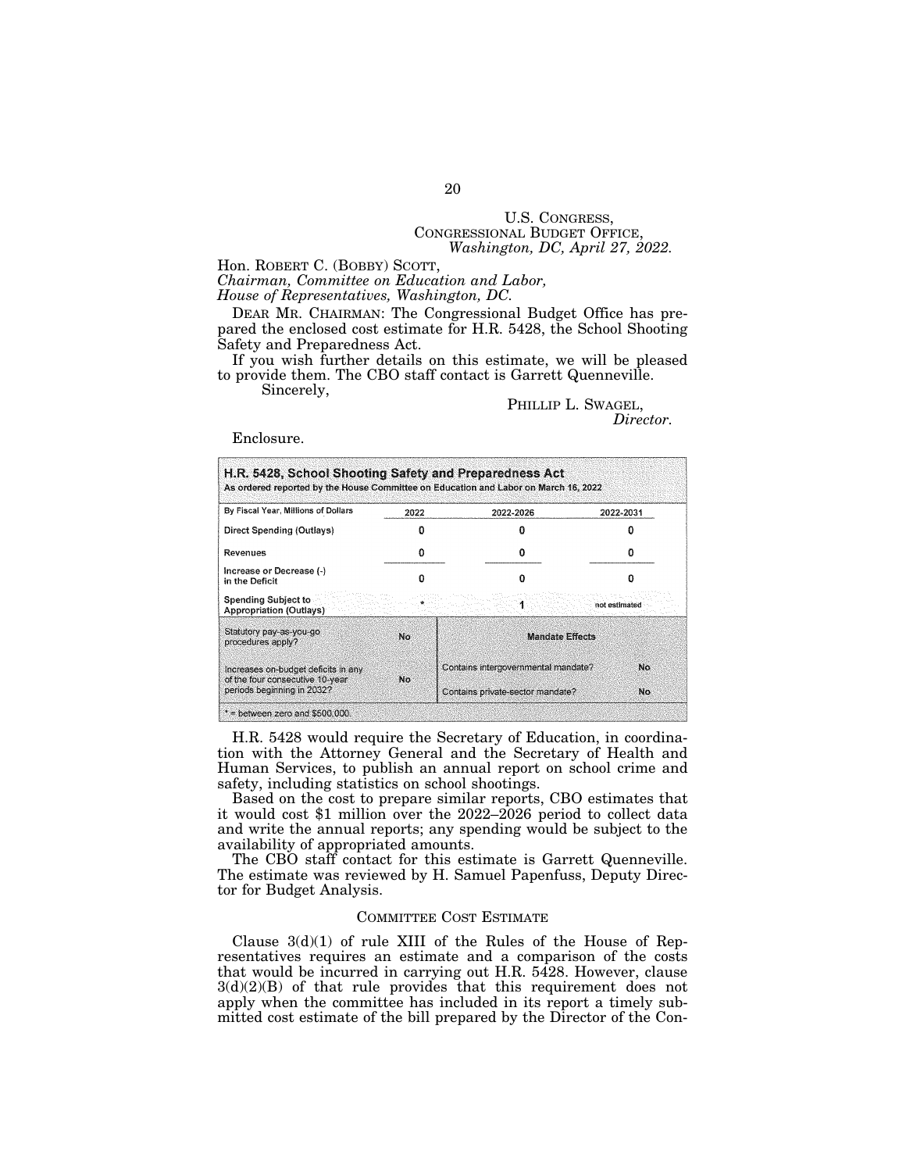# U.S. CONGRESS, CONGRESSIONAL BUDGET OFFICE, *Washington, DC, April 27, 2022.*

Hon. ROBERT C. (BOBBY) SCOTT, *Chairman, Committee on Education and Labor, House of Representatives, Washington, DC.* 

DEAR MR. CHAIRMAN: The Congressional Budget Office has prepared the enclosed cost estimate for H.R. 5428, the School Shooting Safety and Preparedness Act.

If you wish further details on this estimate, we will be pleased to provide them. The CBO staff contact is Garrett Quenneville. Sincerely,

# PHILLIP L. SWAGEL, *Director.*

#### Enclosure.

| By Fiscal Year, Millions of Dollars                                    | 2022      | 2022-2026                           | 2022-2031     |
|------------------------------------------------------------------------|-----------|-------------------------------------|---------------|
| Direct Spending (Outlays)                                              |           |                                     |               |
| Revenues                                                               |           |                                     |               |
| Increase or Decrease (-)<br>in the Deficit                             |           |                                     |               |
| <b>Spending Subject to</b><br><b>Appropriation (Outlays)</b>           |           |                                     | not estimated |
| Statutory pay-as-you-go<br>procedures apply?                           | <b>No</b> | <b>Mandate Effects</b>              |               |
| Increases on-budget deficits in any<br>of the four consecutive 10-year | No        | Contains intergovernmental mandate? | No            |
| periods beginning in 2032?                                             |           | Contains private-sector mandate?    | No            |

H.R. 5428 would require the Secretary of Education, in coordination with the Attorney General and the Secretary of Health and Human Services, to publish an annual report on school crime and safety, including statistics on school shootings.

Based on the cost to prepare similar reports, CBO estimates that it would cost \$1 million over the 2022–2026 period to collect data and write the annual reports; any spending would be subject to the availability of appropriated amounts.

The CBO staff contact for this estimate is Garrett Quenneville. The estimate was reviewed by H. Samuel Papenfuss, Deputy Director for Budget Analysis.

#### COMMITTEE COST ESTIMATE

Clause  $3(d)(1)$  of rule XIII of the Rules of the House of Representatives requires an estimate and a comparison of the costs that would be incurred in carrying out H.R. 5428. However, clause  $3(d)(2)(B)$  of that rule provides that this requirement does not apply when the committee has included in its report a timely submitted cost estimate of the bill prepared by the Director of the Con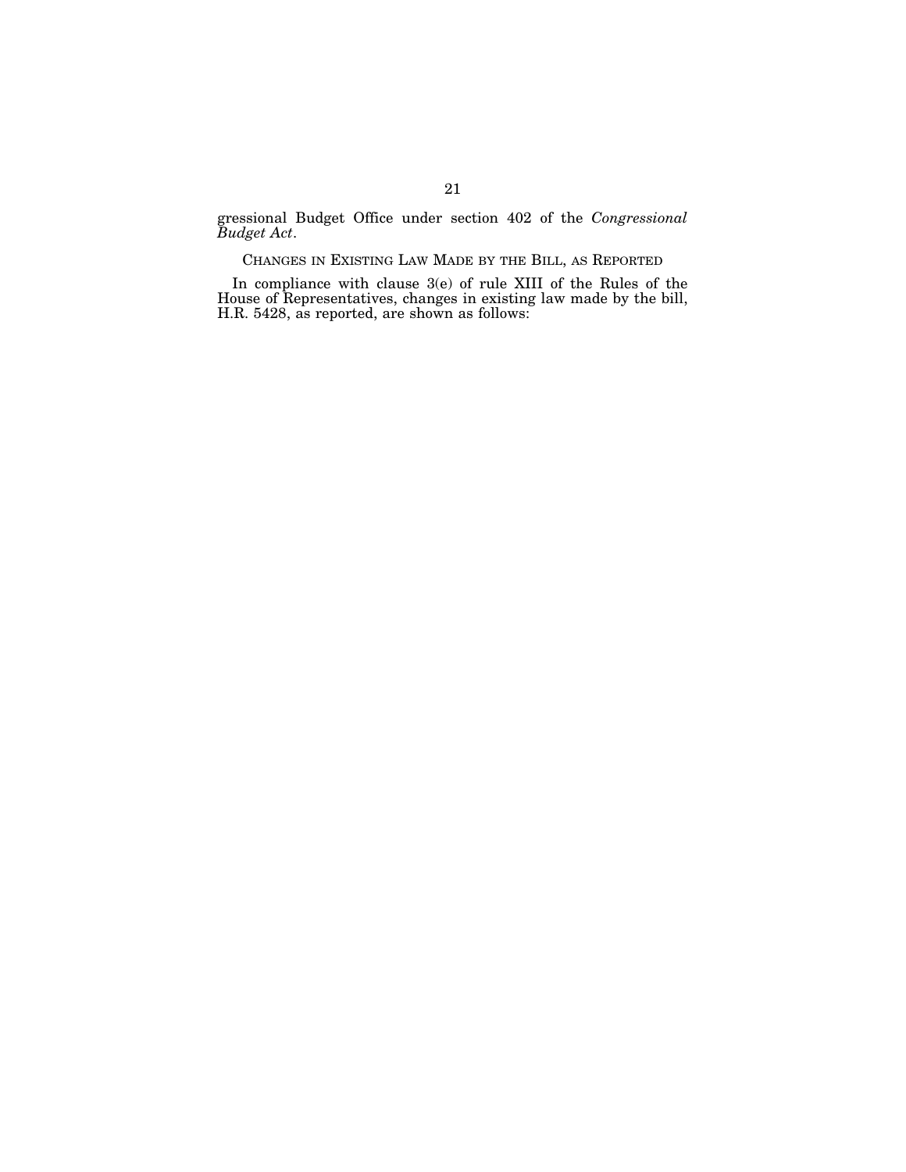gressional Budget Office under section 402 of the *Congressional Budget Act*.

CHANGES IN EXISTING LAW MADE BY THE BILL, AS REPORTED

In compliance with clause 3(e) of rule XIII of the Rules of the House of Representatives, changes in existing law made by the bill, H.R. 5428, as reported, are shown as follows: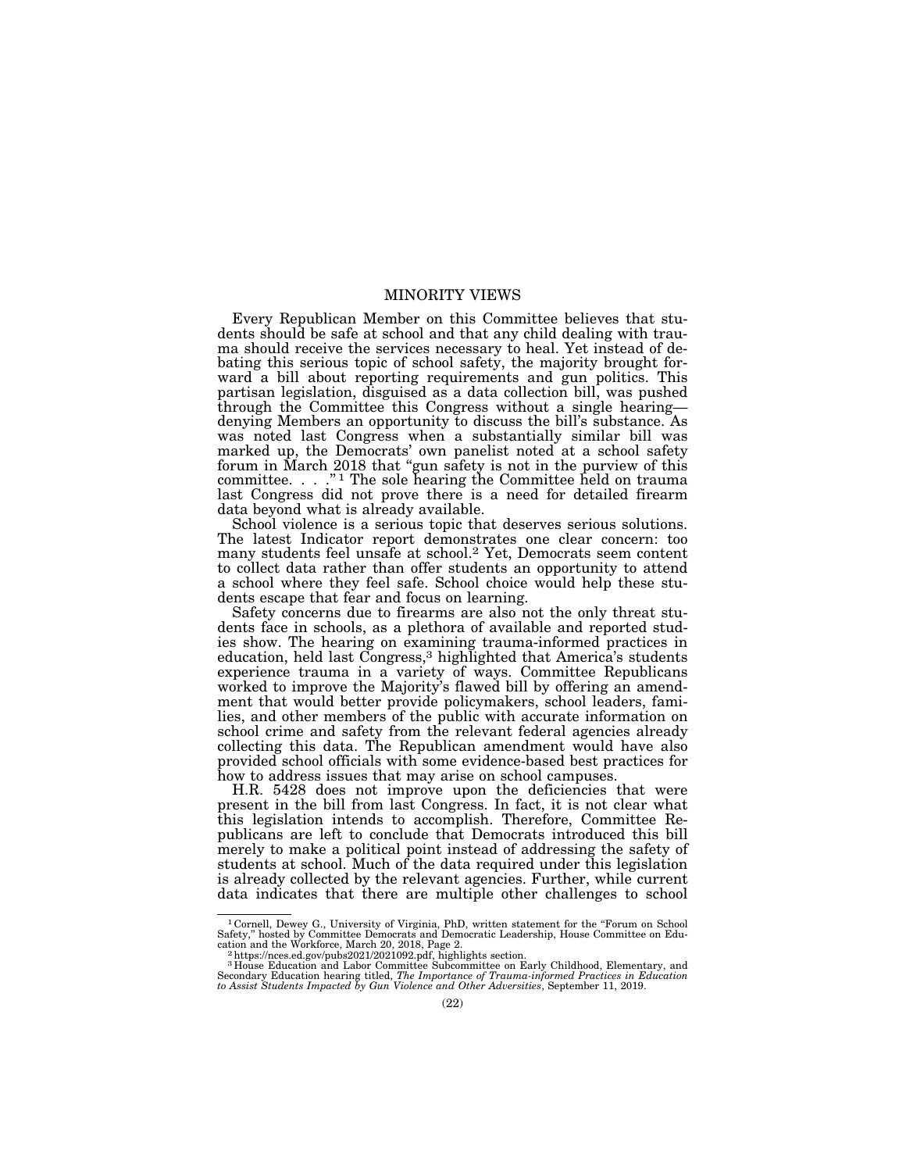# MINORITY VIEWS

Every Republican Member on this Committee believes that students should be safe at school and that any child dealing with trauma should receive the services necessary to heal. Yet instead of debating this serious topic of school safety, the majority brought forward a bill about reporting requirements and gun politics. This partisan legislation, disguised as a data collection bill, was pushed through the Committee this Congress without a single hearing denying Members an opportunity to discuss the bill's substance. As was noted last Congress when a substantially similar bill was marked up, the Democrats' own panelist noted at a school safety forum in March 2018 that ''gun safety is not in the purview of this committee. . . ."<sup>1</sup> The sole hearing the Committee held on trauma last Congress did not prove there is a need for detailed firearm data beyond what is already available.

School violence is a serious topic that deserves serious solutions. The latest Indicator report demonstrates one clear concern: too many students feel unsafe at school.2 Yet, Democrats seem content to collect data rather than offer students an opportunity to attend a school where they feel safe. School choice would help these students escape that fear and focus on learning.

Safety concerns due to firearms are also not the only threat students face in schools, as a plethora of available and reported studies show. The hearing on examining trauma-informed practices in education, held last Congress,<sup>3</sup> highlighted that America's students experience trauma in a variety of ways. Committee Republicans worked to improve the Majority's flawed bill by offering an amendment that would better provide policymakers, school leaders, families, and other members of the public with accurate information on school crime and safety from the relevant federal agencies already collecting this data. The Republican amendment would have also provided school officials with some evidence-based best practices for how to address issues that may arise on school campuses.

H.R. 5428 does not improve upon the deficiencies that were present in the bill from last Congress. In fact, it is not clear what this legislation intends to accomplish. Therefore, Committee Republicans are left to conclude that Democrats introduced this bill merely to make a political point instead of addressing the safety of students at school. Much of the data required under this legislation is already collected by the relevant agencies. Further, while current data indicates that there are multiple other challenges to school

<sup>&</sup>lt;sup>1</sup> Cornell, Dewey G., University of Virginia, PhD, written statement for the "Forum on School Safety," hosted by Committee Democrats and Democratic Leadership, House Committee on Education and the Workforce, March 20, 2018, Page 2.<br><sup>2</sup> https://nces.ed.gov/pubs2021/2021092.pdf, highlights section.<br><sup>3</sup> House Education and Labor Committee Subcommittee on Early Childhood, Elementary, and

Secondary Education hearing titled, *The Importance of Trauma-informed Practices in Education to Assist Students Impacted by Gun Violence and Other Adversities*, September 11, 2019.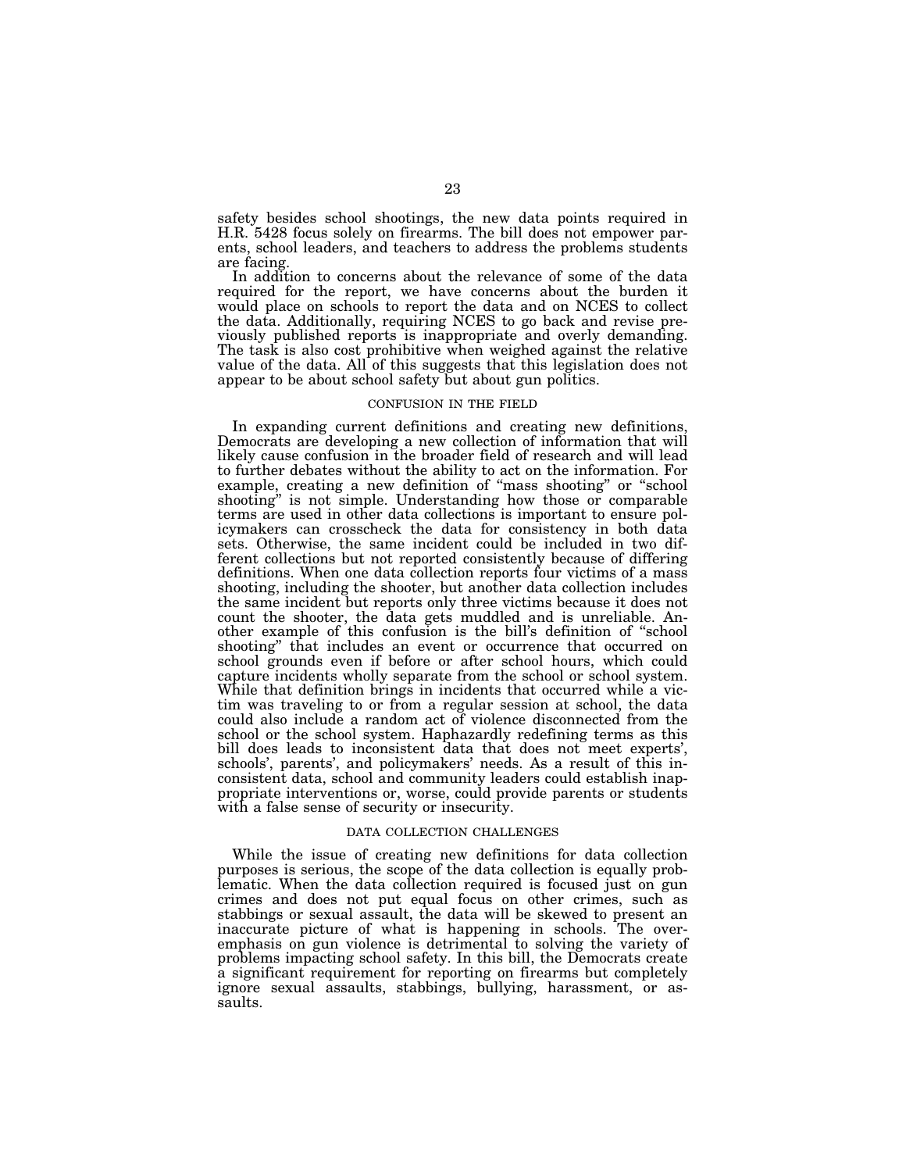safety besides school shootings, the new data points required in H.R. 5428 focus solely on firearms. The bill does not empower parents, school leaders, and teachers to address the problems students are facing.

In addition to concerns about the relevance of some of the data required for the report, we have concerns about the burden it would place on schools to report the data and on NCES to collect the data. Additionally, requiring NCES to go back and revise previously published reports is inappropriate and overly demanding. The task is also cost prohibitive when weighed against the relative value of the data. All of this suggests that this legislation does not appear to be about school safety but about gun politics.

# CONFUSION IN THE FIELD

In expanding current definitions and creating new definitions, Democrats are developing a new collection of information that will likely cause confusion in the broader field of research and will lead to further debates without the ability to act on the information. For example, creating a new definition of ''mass shooting'' or ''school shooting'' is not simple. Understanding how those or comparable terms are used in other data collections is important to ensure policymakers can crosscheck the data for consistency in both data sets. Otherwise, the same incident could be included in two different collections but not reported consistently because of differing definitions. When one data collection reports four victims of a mass shooting, including the shooter, but another data collection includes the same incident but reports only three victims because it does not count the shooter, the data gets muddled and is unreliable. Another example of this confusion is the bill's definition of ''school shooting'' that includes an event or occurrence that occurred on school grounds even if before or after school hours, which could capture incidents wholly separate from the school or school system. While that definition brings in incidents that occurred while a victim was traveling to or from a regular session at school, the data could also include a random act of violence disconnected from the school or the school system. Haphazardly redefining terms as this bill does leads to inconsistent data that does not meet experts', schools', parents', and policymakers' needs. As a result of this inconsistent data, school and community leaders could establish inappropriate interventions or, worse, could provide parents or students with a false sense of security or insecurity.

#### DATA COLLECTION CHALLENGES

While the issue of creating new definitions for data collection purposes is serious, the scope of the data collection is equally problematic. When the data collection required is focused just on gun crimes and does not put equal focus on other crimes, such as stabbings or sexual assault, the data will be skewed to present an inaccurate picture of what is happening in schools. The overemphasis on gun violence is detrimental to solving the variety of problems impacting school safety. In this bill, the Democrats create a significant requirement for reporting on firearms but completely ignore sexual assaults, stabbings, bullying, harassment, or assaults.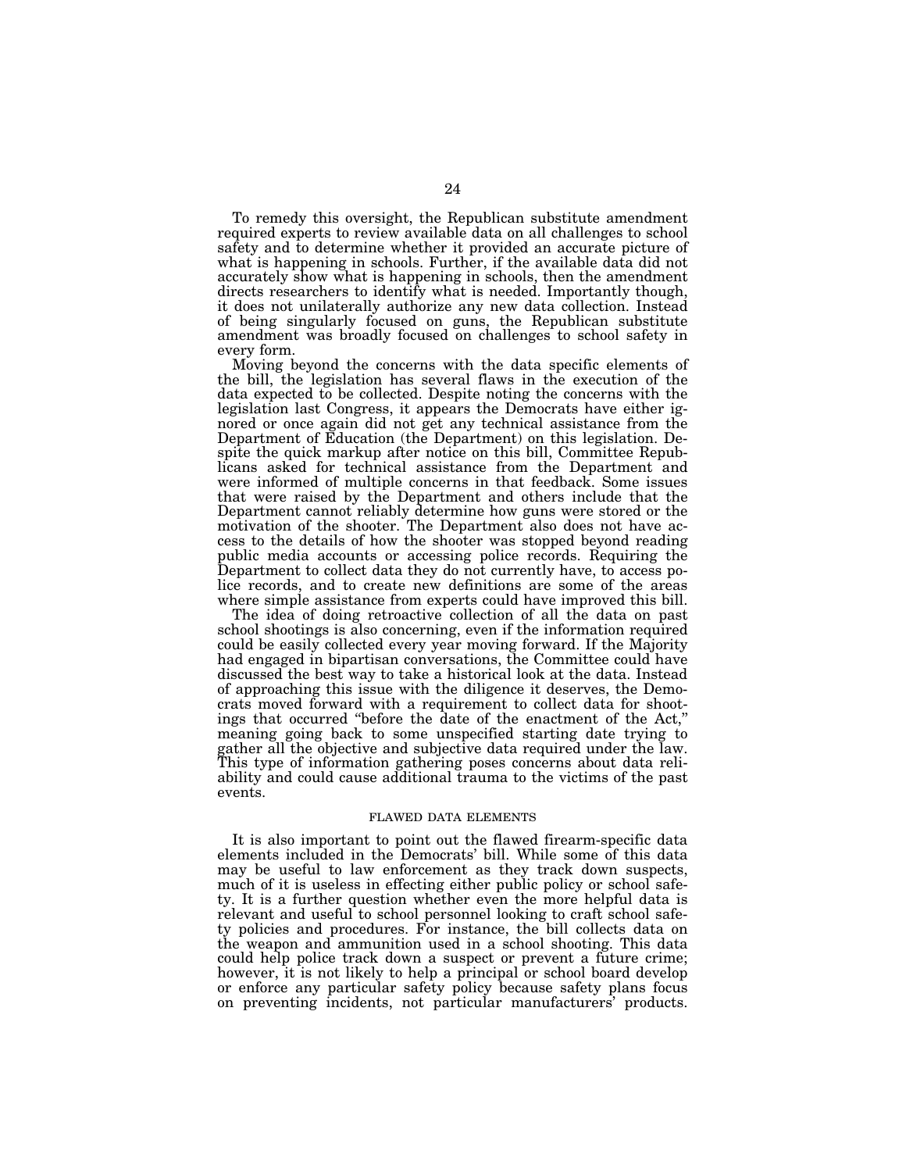To remedy this oversight, the Republican substitute amendment required experts to review available data on all challenges to school safety and to determine whether it provided an accurate picture of what is happening in schools. Further, if the available data did not accurately show what is happening in schools, then the amendment directs researchers to identify what is needed. Importantly though, it does not unilaterally authorize any new data collection. Instead of being singularly focused on guns, the Republican substitute amendment was broadly focused on challenges to school safety in every form.

Moving beyond the concerns with the data specific elements of the bill, the legislation has several flaws in the execution of the data expected to be collected. Despite noting the concerns with the legislation last Congress, it appears the Democrats have either ignored or once again did not get any technical assistance from the Department of Education (the Department) on this legislation. Despite the quick markup after notice on this bill, Committee Republicans asked for technical assistance from the Department and were informed of multiple concerns in that feedback. Some issues that were raised by the Department and others include that the Department cannot reliably determine how guns were stored or the motivation of the shooter. The Department also does not have access to the details of how the shooter was stopped beyond reading public media accounts or accessing police records. Requiring the Department to collect data they do not currently have, to access police records, and to create new definitions are some of the areas where simple assistance from experts could have improved this bill.

The idea of doing retroactive collection of all the data on past school shootings is also concerning, even if the information required could be easily collected every year moving forward. If the Majority had engaged in bipartisan conversations, the Committee could have discussed the best way to take a historical look at the data. Instead of approaching this issue with the diligence it deserves, the Democrats moved forward with a requirement to collect data for shootings that occurred ''before the date of the enactment of the Act,'' meaning going back to some unspecified starting date trying to gather all the objective and subjective data required under the law. This type of information gathering poses concerns about data reliability and could cause additional trauma to the victims of the past events.

#### FLAWED DATA ELEMENTS

It is also important to point out the flawed firearm-specific data elements included in the Democrats' bill. While some of this data may be useful to law enforcement as they track down suspects, much of it is useless in effecting either public policy or school safety. It is a further question whether even the more helpful data is relevant and useful to school personnel looking to craft school safety policies and procedures. For instance, the bill collects data on the weapon and ammunition used in a school shooting. This data could help police track down a suspect or prevent a future crime; however, it is not likely to help a principal or school board develop or enforce any particular safety policy because safety plans focus on preventing incidents, not particular manufacturers' products.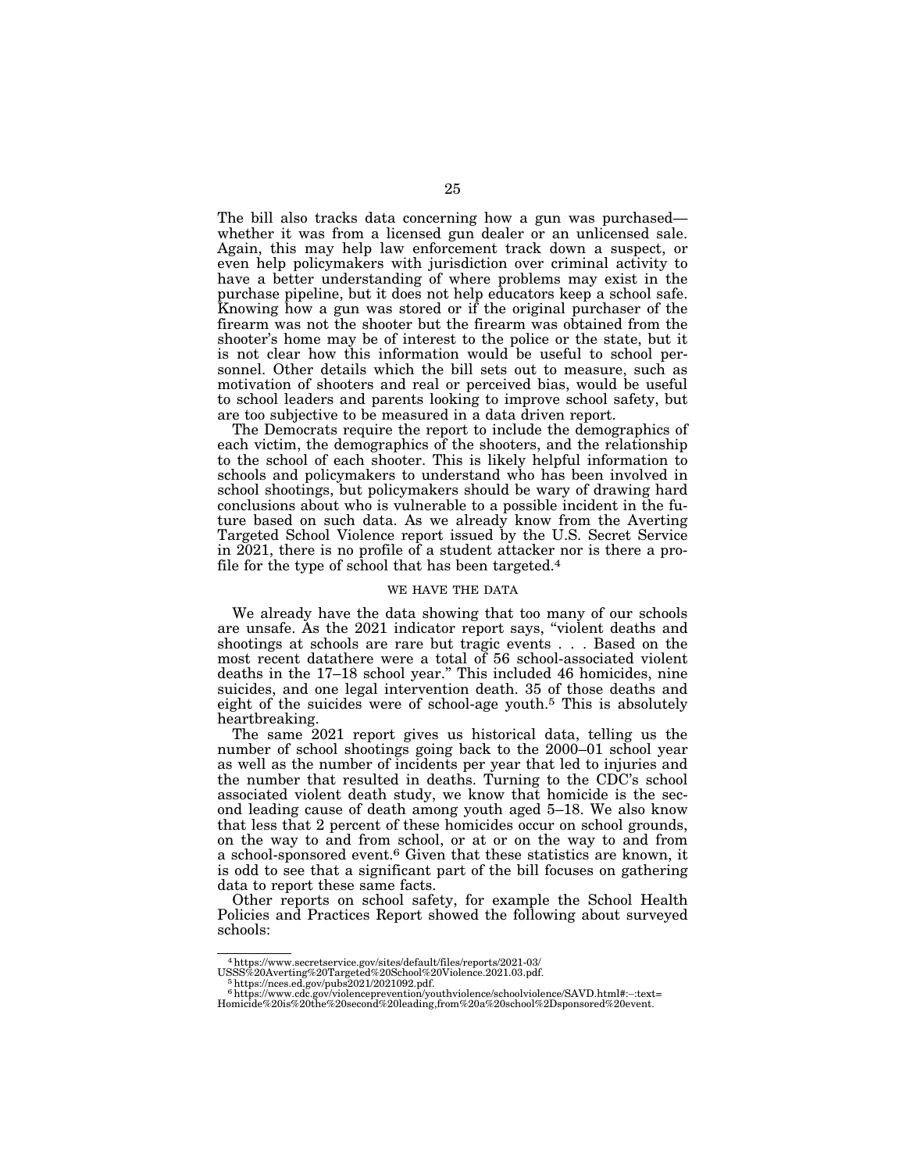The bill also tracks data concerning how a gun was purchased whether it was from a licensed gun dealer or an unlicensed sale. Again, this may help law enforcement track down a suspect, or even help policymakers with jurisdiction over criminal activity to have a better understanding of where problems may exist in the purchase pipeline, but it does not help educators keep a school safe. Knowing how a gun was stored or if the original purchaser of the firearm was not the shooter but the firearm was obtained from the shooter's home may be of interest to the police or the state, but it is not clear how this information would be useful to school personnel. Other details which the bill sets out to measure, such as motivation of shooters and real or perceived bias, would be useful to school leaders and parents looking to improve school safety, but are too subjective to be measured in a data driven report.

The Democrats require the report to include the demographics of each victim, the demographics of the shooters, and the relationship to the school of each shooter. This is likely helpful information to schools and policymakers to understand who has been involved in school shootings, but policymakers should be wary of drawing hard conclusions about who is vulnerable to a possible incident in the future based on such data. As we already know from the Averting Targeted School Violence report issued by the U.S. Secret Service in 2021, there is no profile of a student attacker nor is there a profile for the type of school that has been targeted.4

#### WE HAVE THE DATA

We already have the data showing that too many of our schools are unsafe. As the 2021 indicator report says, ''violent deaths and shootings at schools are rare but tragic events . . . Based on the most recent datathere were a total of 56 school-associated violent deaths in the 17–18 school year.'' This included 46 homicides, nine suicides, and one legal intervention death. 35 of those deaths and eight of the suicides were of school-age youth.<sup>5</sup> This is absolutely heartbreaking.

The same 2021 report gives us historical data, telling us the number of school shootings going back to the 2000–01 school year as well as the number of incidents per year that led to injuries and the number that resulted in deaths. Turning to the CDC's school associated violent death study, we know that homicide is the second leading cause of death among youth aged 5–18. We also know that less that 2 percent of these homicides occur on school grounds, on the way to and from school, or at or on the way to and from a school-sponsored event.6 Given that these statistics are known, it is odd to see that a significant part of the bill focuses on gathering data to report these same facts.

Other reports on school safety, for example the School Health Policies and Practices Report showed the following about surveyed schools:

<sup>4</sup>https://www.secretservice.gov/sites/default/files/reports/2021-03/ USSS%20Averting%20Targeted%20School%20Violence.2021.03.pdf. 5https://nces.ed.gov/pubs2021/2021092.pdf.

<sup>6</sup>https://www.cdc.gov/violenceprevention/youthviolence/schoolviolence/SAVD.html#:∼:text= Homicide%20is%20the%20second%20leading,from%20a%20school%2Dsponsored%20event.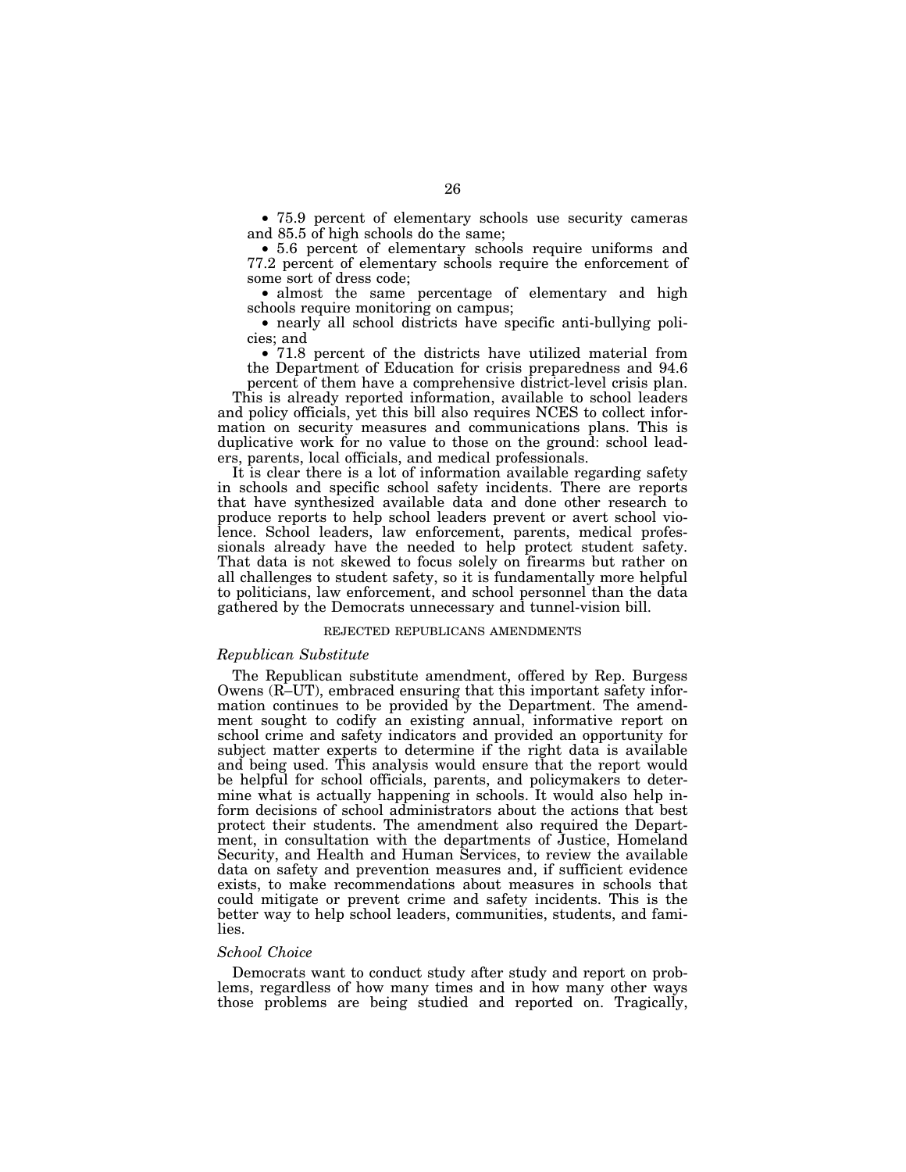• 75.9 percent of elementary schools use security cameras and 85.5 of high schools do the same;

• 5.6 percent of elementary schools require uniforms and 77.2 percent of elementary schools require the enforcement of some sort of dress code;

• almost the same percentage of elementary and high schools require monitoring on campus;

• nearly all school districts have specific anti-bullying policies; and

• 71.8 percent of the districts have utilized material from the Department of Education for crisis preparedness and 94.6 percent of them have a comprehensive district-level crisis plan.

This is already reported information, available to school leaders and policy officials, yet this bill also requires NCES to collect information on security measures and communications plans. This is duplicative work for no value to those on the ground: school leaders, parents, local officials, and medical professionals.

It is clear there is a lot of information available regarding safety in schools and specific school safety incidents. There are reports that have synthesized available data and done other research to produce reports to help school leaders prevent or avert school violence. School leaders, law enforcement, parents, medical professionals already have the needed to help protect student safety. That data is not skewed to focus solely on firearms but rather on all challenges to student safety, so it is fundamentally more helpful to politicians, law enforcement, and school personnel than the data gathered by the Democrats unnecessary and tunnel-vision bill.

#### REJECTED REPUBLICANS AMENDMENTS

#### *Republican Substitute*

The Republican substitute amendment, offered by Rep. Burgess Owens (R–UT), embraced ensuring that this important safety information continues to be provided by the Department. The amendment sought to codify an existing annual, informative report on school crime and safety indicators and provided an opportunity for subject matter experts to determine if the right data is available and being used. This analysis would ensure that the report would be helpful for school officials, parents, and policymakers to determine what is actually happening in schools. It would also help inform decisions of school administrators about the actions that best protect their students. The amendment also required the Department, in consultation with the departments of Justice, Homeland Security, and Health and Human Services, to review the available data on safety and prevention measures and, if sufficient evidence exists, to make recommendations about measures in schools that could mitigate or prevent crime and safety incidents. This is the better way to help school leaders, communities, students, and families.

#### *School Choice*

Democrats want to conduct study after study and report on problems, regardless of how many times and in how many other ways those problems are being studied and reported on. Tragically,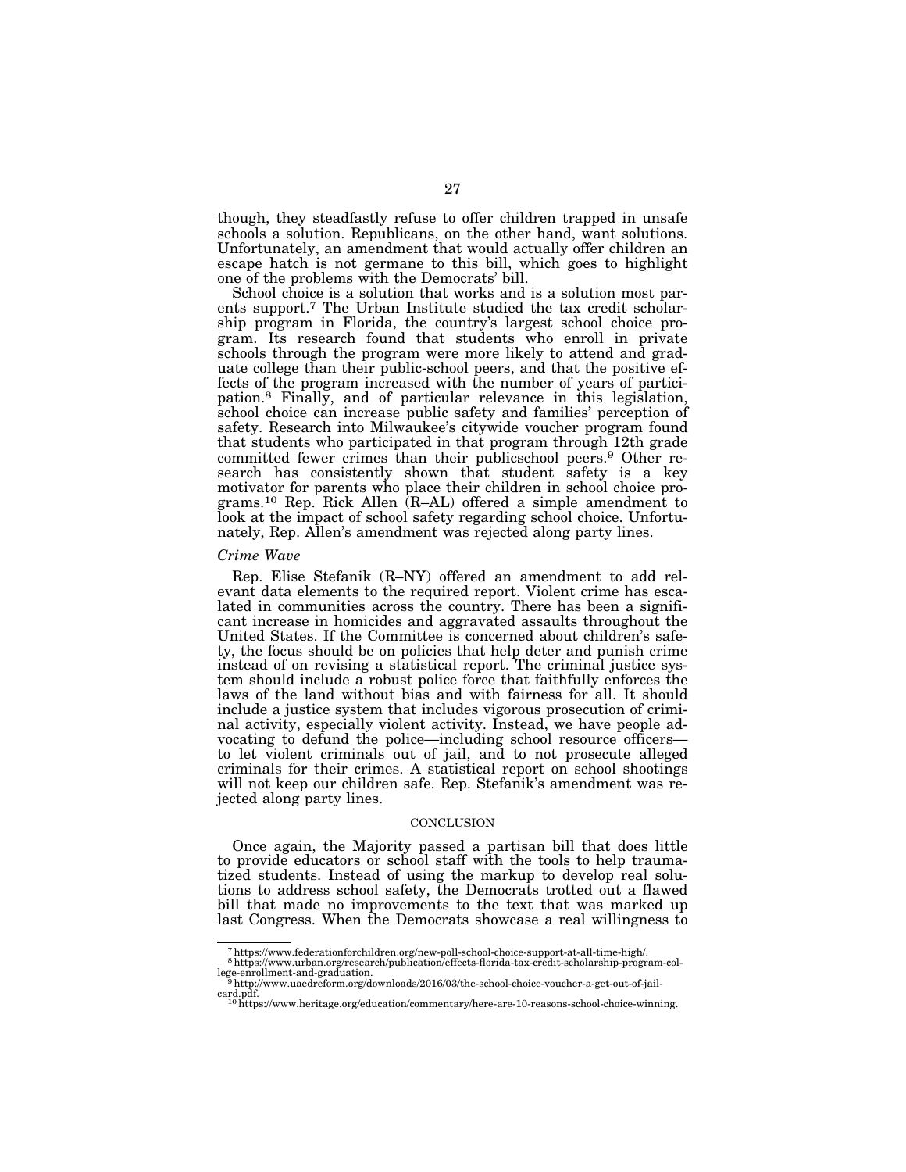though, they steadfastly refuse to offer children trapped in unsafe schools a solution. Republicans, on the other hand, want solutions. Unfortunately, an amendment that would actually offer children an escape hatch is not germane to this bill, which goes to highlight one of the problems with the Democrats' bill.

School choice is a solution that works and is a solution most parents support.7 The Urban Institute studied the tax credit scholarship program in Florida, the country's largest school choice program. Its research found that students who enroll in private schools through the program were more likely to attend and graduate college than their public-school peers, and that the positive effects of the program increased with the number of years of participation.8 Finally, and of particular relevance in this legislation, school choice can increase public safety and families' perception of safety. Research into Milwaukee's citywide voucher program found that students who participated in that program through 12th grade committed fewer crimes than their publicschool peers.9 Other research has consistently shown that student safety is a key motivator for parents who place their children in school choice programs.<sup>10</sup> Rep. Rick Allen  $(R–AL)$  offered a simple amendment to look at the impact of school safety regarding school choice. Unfortunately, Rep. Allen's amendment was rejected along party lines.

#### *Crime Wave*

Rep. Elise Stefanik (R–NY) offered an amendment to add relevant data elements to the required report. Violent crime has escalated in communities across the country. There has been a significant increase in homicides and aggravated assaults throughout the United States. If the Committee is concerned about children's safety, the focus should be on policies that help deter and punish crime instead of on revising a statistical report. The criminal justice system should include a robust police force that faithfully enforces the laws of the land without bias and with fairness for all. It should include a justice system that includes vigorous prosecution of criminal activity, especially violent activity. Instead, we have people advocating to defund the police—including school resource officers to let violent criminals out of jail, and to not prosecute alleged criminals for their crimes. A statistical report on school shootings will not keep our children safe. Rep. Stefanik's amendment was rejected along party lines.

#### **CONCLUSION**

Once again, the Majority passed a partisan bill that does little to provide educators or school staff with the tools to help traumatized students. Instead of using the markup to develop real solutions to address school safety, the Democrats trotted out a flawed bill that made no improvements to the text that was marked up last Congress. When the Democrats showcase a real willingness to

<sup>7</sup>https://www.federationforchildren.org/new-poll-school-choice-support-at-all-time-high/.

<sup>8</sup>https://www.urban.org/research/publication/effects-florida-tax-credit-scholarship-program-col-lege-enrollment-and-graduation. 9http://www.uaedreform.org/downloads/2016/03/the-school-choice-voucher-a-get-out-of-jail-

card.pdf. 10https://www.heritage.org/education/commentary/here-are-10-reasons-school-choice-winning.